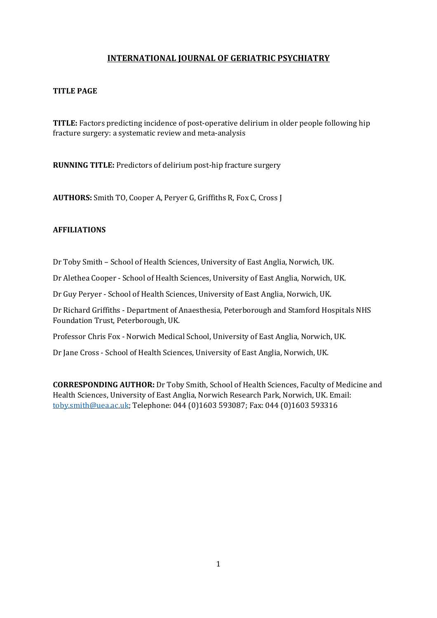# **INTERNATIONAL JOURNAL OF GERIATRIC PSYCHIATRY**

## **TITLE PAGE**

**TITLE:** Factors predicting incidence of post-operative delirium in older people following hip fracture surgery: a systematic review and meta-analysis

**RUNNING TITLE:** Predictors of delirium post-hip fracture surgery

**AUTHORS:** Smith TO, Cooper A, Peryer G, Griffiths R, Fox C, Cross J

## **AFFILIATIONS**

Dr Toby Smith – School of Health Sciences, University of East Anglia, Norwich, UK.

Dr Alethea Cooper - School of Health Sciences, University of East Anglia, Norwich, UK.

Dr Guy Peryer - School of Health Sciences, University of East Anglia, Norwich, UK.

Dr Richard Griffiths - Department of Anaesthesia, Peterborough and Stamford Hospitals NHS Foundation Trust, Peterborough, UK.

Professor Chris Fox - Norwich Medical School, University of East Anglia, Norwich, UK.

Dr Jane Cross - School of Health Sciences, University of East Anglia, Norwich, UK.

**CORRESPONDING AUTHOR:** Dr Toby Smith, School of Health Sciences, Faculty of Medicine and Health Sciences, University of East Anglia, Norwich Research Park, Norwich, UK. Email: toby.smith@uea.ac.uk; Telephone: 044 (0)1603 593087; Fax: 044 (0)1603 593316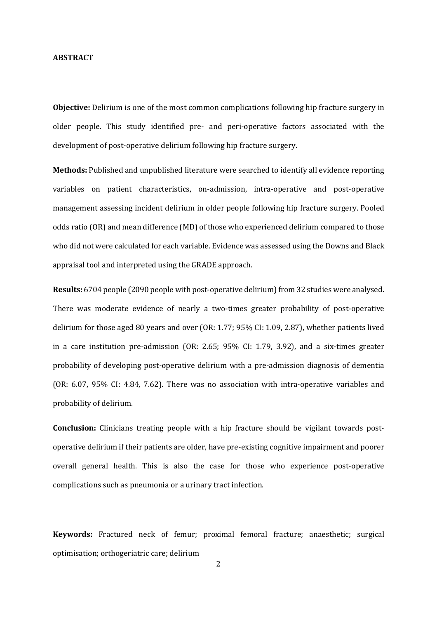#### **ABSTRACT**

**Objective:** Delirium is one of the most common complications following hip fracture surgery in older people. This study identified pre- and peri-operative factors associated with the development of post-operative delirium following hip fracture surgery.

**Methods:** Published and unpublished literature were searched to identify all evidence reporting variables on patient characteristics, on-admission, intra-operative and post-operative management assessing incident delirium in older people following hip fracture surgery. Pooled odds ratio (OR) and mean difference (MD) of those who experienced delirium compared to those who did not were calculated for each variable. Evidence was assessed using the Downs and Black appraisal tool and interpreted using the GRADE approach.

**Results:** 6704 people (2090 people with post-operative delirium) from 32 studies were analysed. There was moderate evidence of nearly a two-times greater probability of post-operative delirium for those aged 80 years and over (OR: 1.77; 95% CI: 1.09, 2.87), whether patients lived in a care institution pre-admission (OR: 2.65; 95% CI: 1.79, 3.92), and a six-times greater probability of developing post-operative delirium with a pre-admission diagnosis of dementia (OR: 6.07, 95% CI: 4.84, 7.62). There was no association with intra-operative variables and probability of delirium.

**Conclusion:** Clinicians treating people with a hip fracture should be vigilant towards postoperative delirium if their patients are older, have pre-existing cognitive impairment and poorer overall general health. This is also the case for those who experience post-operative complications such as pneumonia or a urinary tract infection.

**Keywords:** Fractured neck of femur; proximal femoral fracture; anaesthetic; surgical optimisation; orthogeriatric care; delirium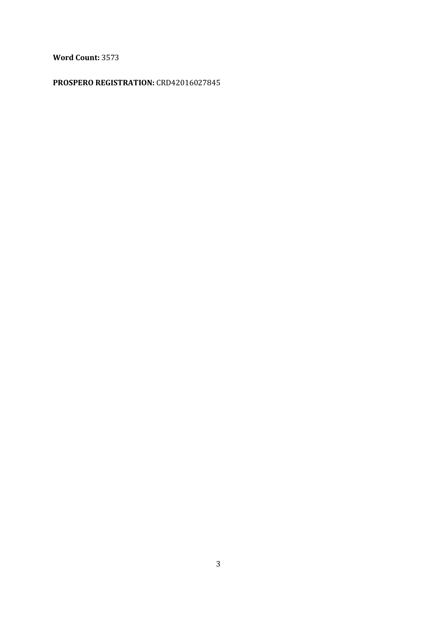**Word Count:** 3573

# **PROSPERO REGISTRATION:** CRD42016027845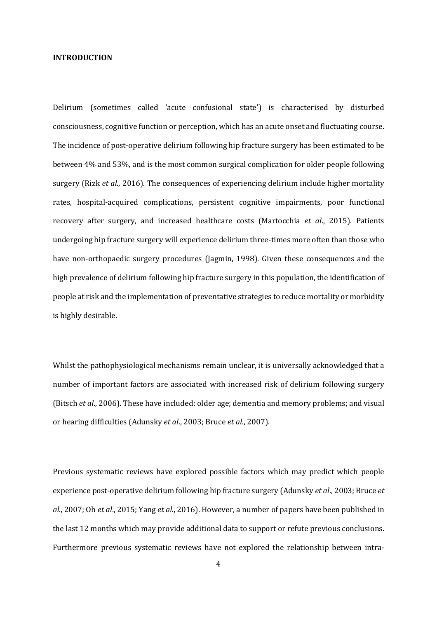#### **INTRODUCTION**

Delirium (sometimes called 'acute confusional state') is characterised by disturbed consciousness, cognitive function or perception, which has an acute onset and fluctuating course. The incidence of post-operative delirium following hip fracture surgery has been estimated to be between 4% and 53%, and is the most common surgical complication for older people following surgery (Rizk *et al*., 2016). The consequences of experiencing delirium include higher mortality rates, hospital-acquired complications, persistent cognitive impairments, poor functional recovery after surgery, and increased healthcare costs (Martocchia *et al*., 2015). Patients undergoing hip fracture surgery will experience delirium three-times more often than those who have non-orthopaedic surgery procedures (Jagmin, 1998). Given these consequences and the high prevalence of delirium following hip fracture surgery in this population, the identification of people at risk and the implementation of preventative strategies to reduce mortality or morbidity is highly desirable.

Whilst the pathophysiological mechanisms remain unclear, it is universally acknowledged that a number of important factors are associated with increased risk of delirium following surgery (Bitsch *et al*., 2006). These have included: older age; dementia and memory problems; and visual or hearing difficulties (Adunsky *et al*., 2003; Bruce *et al*., 2007).

Previous systematic reviews have explored possible factors which may predict which people experience post-operative delirium following hip fracture surgery (Adunsky *et al*., 2003; Bruce *et al*., 2007; Oh *et al*., 2015; Yang *et al*., 2016). However, a number of papers have been published in the last 12 months which may provide additional data to support or refute previous conclusions. Furthermore previous systematic reviews have not explored the relationship between intra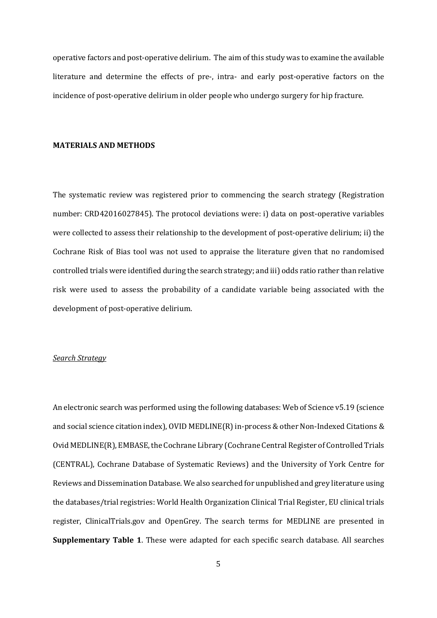operative factors and post-operative delirium. The aim of this study was to examine the available literature and determine the effects of pre-, intra- and early post-operative factors on the incidence of post-operative delirium in older people who undergo surgery for hip fracture.

#### **MATERIALS AND METHODS**

The systematic review was registered prior to commencing the search strategy (Registration number: CRD42016027845). The protocol deviations were: i) data on post-operative variables were collected to assess their relationship to the development of post-operative delirium; ii) the Cochrane Risk of Bias tool was not used to appraise the literature given that no randomised controlled trials were identified during the search strategy; and iii) odds ratio rather than relative risk were used to assess the probability of a candidate variable being associated with the development of post-operative delirium.

#### *Search Strategy*

An electronic search was performed using the following databases: Web of Science v5.19 (science and social science citation index), OVID MEDLINE(R) in-process & other Non-Indexed Citations & Ovid MEDLINE(R), EMBASE, the Cochrane Library (Cochrane Central Register of Controlled Trials (CENTRAL), Cochrane Database of Systematic Reviews) and the University of York Centre for Reviews and Dissemination Database. We also searched for unpublished and grey literature using the databases/trial registries: World Health Organization Clinical Trial Register, EU clinical trials register, ClinicalTrials.gov and OpenGrey. The search terms for MEDLINE are presented in **Supplementary Table 1**. These were adapted for each specific search database. All searches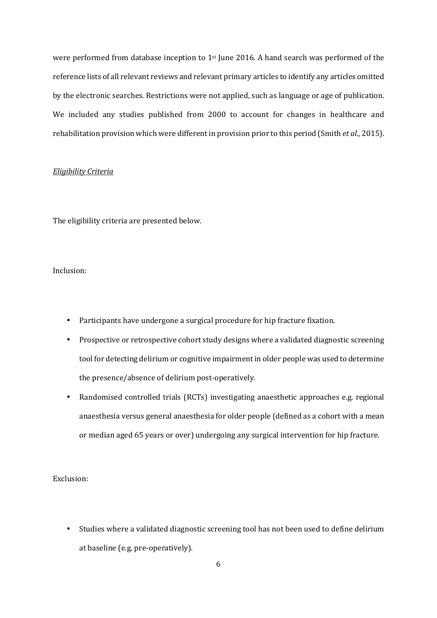were performed from database inception to 1st June 2016. A hand search was performed of the reference lists of all relevant reviews and relevant primary articles to identify any articles omitted by the electronic searches. Restrictions were not applied, such as language or age of publication. We included any studies published from 2000 to account for changes in healthcare and rehabilitation provision which were different in provision prior to this period (Smith *et al*., 2015).

### *Eligibility Criteria*

The eligibility criteria are presented below.

## Inclusion:

- Participants have undergone a surgical procedure for hip fracture fixation.
- Prospective or retrospective cohort study designs where a validated diagnostic screening tool for detecting delirium or cognitive impairment in older people was used to determine the presence/absence of delirium post-operatively.
- Randomised controlled trials (RCTs) investigating anaesthetic approaches e.g. regional anaesthesia versus general anaesthesia for older people (defined as a cohort with a mean or median aged 65 years or over) undergoing any surgical intervention for hip fracture.

## Exclusion:

• Studies where a validated diagnostic screening tool has not been used to define delirium at baseline (e.g. pre-operatively).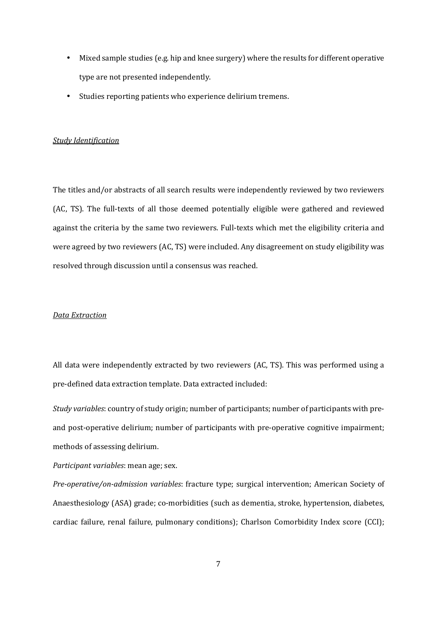- Mixed sample studies (e.g. hip and knee surgery) where the results for different operative type are not presented independently.
- Studies reporting patients who experience delirium tremens.

## *Study Identification*

The titles and/or abstracts of all search results were independently reviewed by two reviewers (AC, TS). The full-texts of all those deemed potentially eligible were gathered and reviewed against the criteria by the same two reviewers. Full-texts which met the eligibility criteria and were agreed by two reviewers (AC, TS) were included. Any disagreement on study eligibility was resolved through discussion until a consensus was reached.

#### *Data Extraction*

All data were independently extracted by two reviewers (AC, TS). This was performed using a pre-defined data extraction template. Data extracted included:

*Study variables*: country of study origin; number of participants; number of participants with preand post-operative delirium; number of participants with pre-operative cognitive impairment; methods of assessing delirium.

*Participant variables*: mean age; sex.

*Pre-operative/on-admission variables*: fracture type; surgical intervention; American Society of Anaesthesiology (ASA) grade; co-morbidities (such as dementia, stroke, hypertension, diabetes, cardiac failure, renal failure, pulmonary conditions); Charlson Comorbidity Index score (CCI);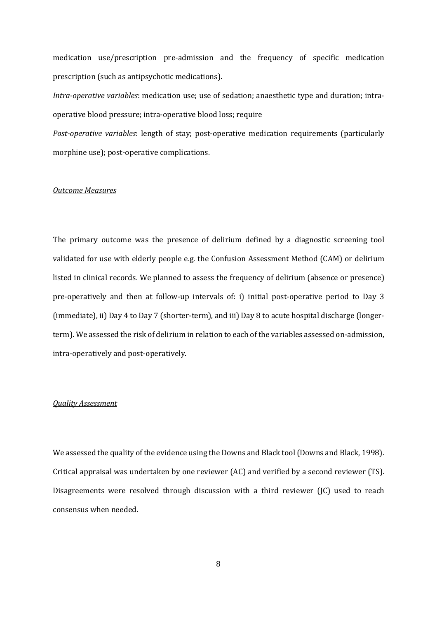medication use/prescription pre-admission and the frequency of specific medication prescription (such as antipsychotic medications).

*Intra-operative variables*: medication use; use of sedation; anaesthetic type and duration; intraoperative blood pressure; intra-operative blood loss; require

*Post-operative variables*: length of stay; post-operative medication requirements (particularly morphine use); post-operative complications.

## *Outcome Measures*

The primary outcome was the presence of delirium defined by a diagnostic screening tool validated for use with elderly people e.g. the Confusion Assessment Method (CAM) or delirium listed in clinical records. We planned to assess the frequency of delirium (absence or presence) pre-operatively and then at follow-up intervals of: i) initial post-operative period to Day 3 (immediate), ii) Day 4 to Day 7 (shorter-term), and iii) Day 8 to acute hospital discharge (longerterm). We assessed the risk of delirium in relation to each of the variables assessed on-admission, intra-operatively and post-operatively.

#### *Quality Assessment*

We assessed the quality of the evidence using the Downs and Black tool (Downs and Black, 1998). Critical appraisal was undertaken by one reviewer (AC) and verified by a second reviewer (TS). Disagreements were resolved through discussion with a third reviewer (JC) used to reach consensus when needed.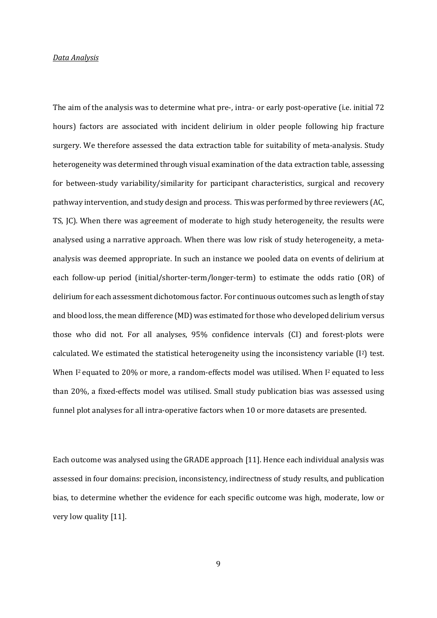### *Data Analysis*

The aim of the analysis was to determine what pre-, intra- or early post-operative (i.e. initial 72 hours) factors are associated with incident delirium in older people following hip fracture surgery. We therefore assessed the data extraction table for suitability of meta-analysis. Study heterogeneity was determined through visual examination of the data extraction table, assessing for between-study variability/similarity for participant characteristics, surgical and recovery pathway intervention, and study design and process. This was performed by three reviewers (AC, TS, JC). When there was agreement of moderate to high study heterogeneity, the results were analysed using a narrative approach. When there was low risk of study heterogeneity, a metaanalysis was deemed appropriate. In such an instance we pooled data on events of delirium at each follow-up period (initial/shorter-term/longer-term) to estimate the odds ratio (OR) of delirium for each assessment dichotomous factor. For continuous outcomes such as length of stay and blood loss, the mean difference (MD) was estimated for those who developed delirium versus those who did not. For all analyses, 95% confidence intervals (CI) and forest-plots were calculated. We estimated the statistical heterogeneity using the inconsistency variable (I2) test. When I<sup>2</sup> equated to 20% or more, a random-effects model was utilised. When I<sup>2</sup> equated to less than 20%, a fixed-effects model was utilised. Small study publication bias was assessed using funnel plot analyses for all intra-operative factors when 10 or more datasets are presented.

Each outcome was analysed using the GRADE approach [11]. Hence each individual analysis was assessed in four domains: precision, inconsistency, indirectness of study results, and publication bias, to determine whether the evidence for each specific outcome was high, moderate, low or very low quality [11].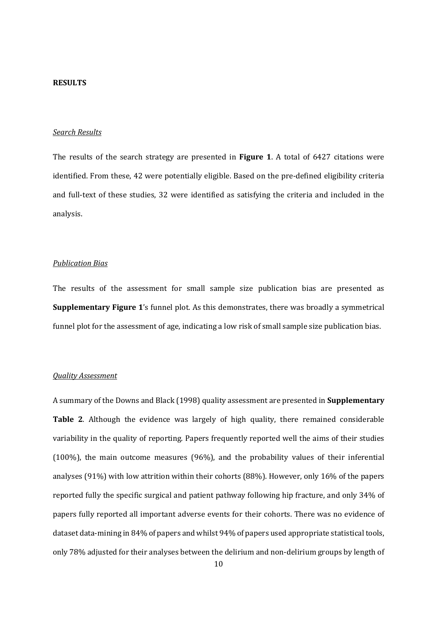#### **RESULTS**

### *Search Results*

The results of the search strategy are presented in **Figure 1**. A total of 6427 citations were identified. From these, 42 were potentially eligible. Based on the pre-defined eligibility criteria and full-text of these studies, 32 were identified as satisfying the criteria and included in the analysis.

#### *Publication Bias*

The results of the assessment for small sample size publication bias are presented as **Supplementary Figure 1**'s funnel plot. As this demonstrates, there was broadly a symmetrical funnel plot for the assessment of age, indicating a low risk of small sample size publication bias.

### *Quality Assessment*

A summary of the Downs and Black (1998) quality assessment are presented in **Supplementary Table 2**. Although the evidence was largely of high quality, there remained considerable variability in the quality of reporting. Papers frequently reported well the aims of their studies (100%), the main outcome measures (96%), and the probability values of their inferential analyses (91%) with low attrition within their cohorts (88%). However, only 16% of the papers reported fully the specific surgical and patient pathway following hip fracture, and only 34% of papers fully reported all important adverse events for their cohorts. There was no evidence of dataset data-mining in 84% of papers and whilst 94% of papers used appropriate statistical tools, only 78% adjusted for their analyses between the delirium and non-delirium groups by length of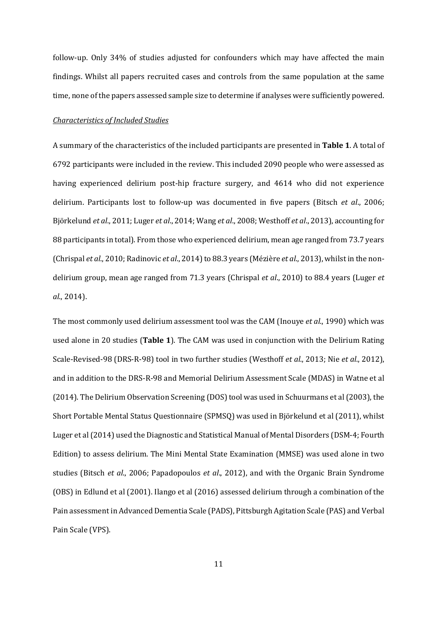follow-up. Only 34% of studies adjusted for confounders which may have affected the main findings. Whilst all papers recruited cases and controls from the same population at the same time, none of the papers assessed sample size to determine if analyses were sufficiently powered.

#### *Characteristics of Included Studies*

A summary of the characteristics of the included participants are presented in **Table 1**. A total of 6792 participants were included in the review. This included 2090 people who were assessed as having experienced delirium post-hip fracture surgery, and 4614 who did not experience delirium. Participants lost to follow-up was documented in five papers (Bitsch *et al*., 2006; Björkelund *et al*., 2011; Luger *et al*., 2014; Wang *et al*., 2008; Westhoff *et al*., 2013), accounting for 88 participants in total). From those who experienced delirium, mean age ranged from 73.7 years (Chrispal *et al*., 2010; Radinovic *et al*., 2014) to 88.3 years (Mézière *et al*., 2013), whilst in the nondelirium group, mean age ranged from 71.3 years (Chrispal *et al*., 2010) to 88.4 years (Luger *et al*., 2014).

The most commonly used delirium assessment tool was the CAM (Inouye *et al*., 1990) which was used alone in 20 studies (**Table 1**). The CAM was used in conjunction with the Delirium Rating Scale-Revised-98 (DRS-R-98) tool in two further studies (Westhoff *et al*., 2013; Nie *et al*., 2012), and in addition to the DRS-R-98 and Memorial Delirium Assessment Scale (MDAS) in Watne et al (2014). The Delirium Observation Screening (DOS) tool was used in Schuurmans et al (2003), the Short Portable Mental Status Questionnaire (SPMSQ) was used in Björkelund et al (2011), whilst Luger et al (2014) used the Diagnostic and Statistical Manual of Mental Disorders (DSM-4; Fourth Edition) to assess delirium. The Mini Mental State Examination (MMSE) was used alone in two studies (Bitsch *et al*., 2006; Papadopoulos *et al*., 2012), and with the Organic Brain Syndrome (OBS) in Edlund et al (2001). Ilango et al (2016) assessed delirium through a combination of the Pain assessment in Advanced Dementia Scale (PADS), Pittsburgh Agitation Scale (PAS) and Verbal Pain Scale (VPS).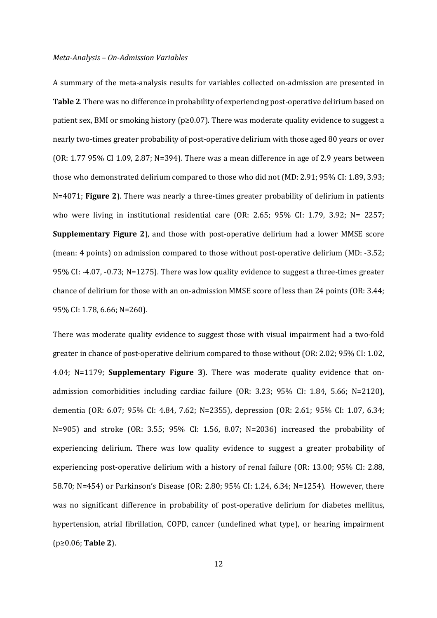#### *Meta-Analysis – On-Admission Variables*

A summary of the meta-analysis results for variables collected on-admission are presented in **Table 2**. There was no difference in probability of experiencing post-operative delirium based on patient sex, BMI or smoking history (p≥0.07). There was moderate quality evidence to suggest a nearly two-times greater probability of post-operative delirium with those aged 80 years or over (OR: 1.77 95% CI 1.09, 2.87; N=394). There was a mean difference in age of 2.9 years between those who demonstrated delirium compared to those who did not (MD: 2.91; 95% CI: 1.89, 3.93; N=4071; **Figure 2**). There was nearly a three-times greater probability of delirium in patients who were living in institutional residential care (OR: 2.65; 95% CI: 1.79, 3.92; N= 2257; **Supplementary Figure 2**), and those with post-operative delirium had a lower MMSE score (mean: 4 points) on admission compared to those without post-operative delirium (MD: -3.52; 95% CI: -4.07, -0.73; N=1275). There was low quality evidence to suggest a three-times greater chance of delirium for those with an on-admission MMSE score of less than 24 points (OR: 3.44; 95% CI: 1.78, 6.66; N=260).

There was moderate quality evidence to suggest those with visual impairment had a two-fold greater in chance of post-operative delirium compared to those without (OR: 2.02; 95% CI: 1.02, 4.04; N=1179; **Supplementary Figure 3**). There was moderate quality evidence that onadmission comorbidities including cardiac failure (OR: 3.23; 95% CI: 1.84, 5.66; N=2120), dementia (OR: 6.07; 95% CI: 4.84, 7.62; N=2355), depression (OR: 2.61; 95% CI: 1.07, 6.34; N=905) and stroke (OR: 3.55; 95% CI: 1.56, 8.07; N=2036) increased the probability of experiencing delirium. There was low quality evidence to suggest a greater probability of experiencing post-operative delirium with a history of renal failure (OR: 13.00; 95% CI: 2.88, 58.70; N=454) or Parkinson's Disease (OR: 2.80; 95% CI: 1.24, 6.34; N=1254). However, there was no significant difference in probability of post-operative delirium for diabetes mellitus, hypertension, atrial fibrillation, COPD, cancer (undefined what type), or hearing impairment (p≥0.06; **Table 2**).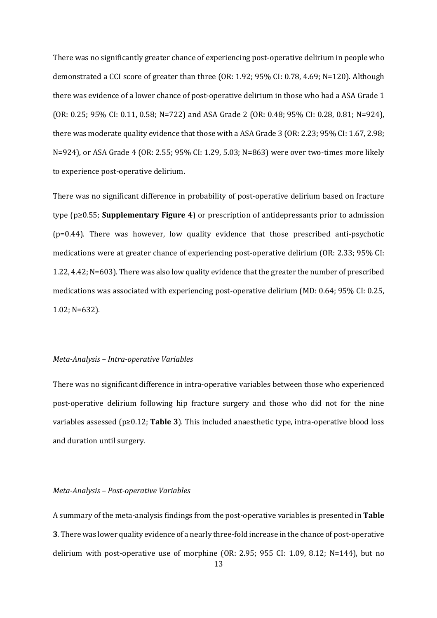There was no significantly greater chance of experiencing post-operative delirium in people who demonstrated a CCI score of greater than three (OR: 1.92; 95% CI: 0.78, 4.69; N=120). Although there was evidence of a lower chance of post-operative delirium in those who had a ASA Grade 1 (OR: 0.25; 95% CI: 0.11, 0.58; N=722) and ASA Grade 2 (OR: 0.48; 95% CI: 0.28, 0.81; N=924), there was moderate quality evidence that those with a ASA Grade 3 (OR: 2.23; 95% CI: 1.67, 2.98; N=924), or ASA Grade 4 (OR: 2.55; 95% CI: 1.29, 5.03; N=863) were over two-times more likely to experience post-operative delirium.

There was no significant difference in probability of post-operative delirium based on fracture type (p≥0.55; **Supplementary Figure 4**) or prescription of antidepressants prior to admission (p=0.44). There was however, low quality evidence that those prescribed anti-psychotic medications were at greater chance of experiencing post-operative delirium (OR: 2.33; 95% CI: 1.22, 4.42; N=603). There was also low quality evidence that the greater the number of prescribed medications was associated with experiencing post-operative delirium (MD: 0.64; 95% CI: 0.25, 1.02; N=632).

### *Meta-Analysis – Intra-operative Variables*

There was no significant difference in intra-operative variables between those who experienced post-operative delirium following hip fracture surgery and those who did not for the nine variables assessed (p≥0.12; **Table 3**). This included anaesthetic type, intra-operative blood loss and duration until surgery.

## *Meta-Analysis – Post-operative Variables*

A summary of the meta-analysis findings from the post-operative variables is presented in **Table 3**. There was lower quality evidence of a nearly three-fold increase in the chance of post-operative delirium with post-operative use of morphine (OR: 2.95; 955 CI: 1.09, 8.12; N=144), but no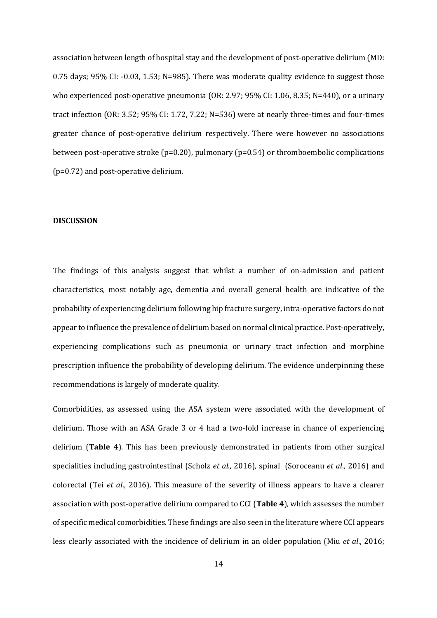association between length of hospital stay and the development of post-operative delirium (MD: 0.75 days; 95% CI: -0.03, 1.53; N=985). There was moderate quality evidence to suggest those who experienced post-operative pneumonia (OR: 2.97; 95% CI: 1.06, 8.35; N=440), or a urinary tract infection (OR: 3.52; 95% CI: 1.72, 7.22; N=536) were at nearly three-times and four-times greater chance of post-operative delirium respectively. There were however no associations between post-operative stroke (p=0.20), pulmonary (p=0.54) or thromboembolic complications (p=0.72) and post-operative delirium.

## **DISCUSSION**

The findings of this analysis suggest that whilst a number of on-admission and patient characteristics, most notably age, dementia and overall general health are indicative of the probability of experiencing delirium following hip fracture surgery, intra-operative factors do not appear to influence the prevalence of delirium based on normal clinical practice. Post-operatively, experiencing complications such as pneumonia or urinary tract infection and morphine prescription influence the probability of developing delirium. The evidence underpinning these recommendations is largely of moderate quality.

Comorbidities, as assessed using the ASA system were associated with the development of delirium. Those with an ASA Grade 3 or 4 had a two-fold increase in chance of experiencing delirium (**Table 4**). This has been previously demonstrated in patients from other surgical specialities including gastrointestinal (Scholz *et al*., 2016), spinal (Soroceanu *et al*., 2016) and colorectal (Tei *et al*., 2016). This measure of the severity of illness appears to have a clearer association with post-operative delirium compared to CCI (**Table 4**), which assesses the number of specific medical comorbidities. These findings are also seen in the literature where CCI appears less clearly associated with the incidence of delirium in an older population (Miu *et al*., 2016;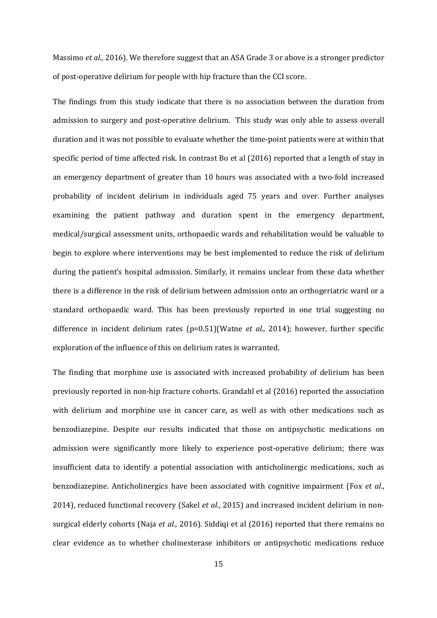Massimo *et al*., 2016). We therefore suggest that an ASA Grade 3 or above is a stronger predictor of post-operative delirium for people with hip fracture than the CCI score.

The findings from this study indicate that there is no association between the duration from admission to surgery and post-operative delirium. This study was only able to assess overall duration and it was not possible to evaluate whether the time-point patients were at within that specific period of time affected risk. In contrast Bo et al (2016) reported that a length of stay in an emergency department of greater than 10 hours was associated with a two-fold increased probability of incident delirium in individuals aged 75 years and over. Further analyses examining the patient pathway and duration spent in the emergency department, medical/surgical assessment units, orthopaedic wards and rehabilitation would be valuable to begin to explore where interventions may be best implemented to reduce the risk of delirium during the patient's hospital admission. Similarly, it remains unclear from these data whether there is a difference in the risk of delirium between admission onto an orthogeriatric ward or a standard orthopaedic ward. This has been previously reported in one trial suggesting no difference in incident delirium rates (p=0.51)(Watne *et al.,* 2014); however, further specific exploration of the influence of this on delirium rates is warranted.

The finding that morphine use is associated with increased probability of delirium has been previously reported in non-hip fracture cohorts. Grandahl et al (2016) reported the association with delirium and morphine use in cancer care, as well as with other medications such as benzodiazepine. Despite our results indicated that those on antipsychotic medications on admission were significantly more likely to experience post-operative delirium; there was insufficient data to identify a potential association with anticholinergic medications, such as benzodiazepine. Anticholinergics have been associated with cognitive impairment (Fox *et al*., 2014), reduced functional recovery (Sakel *et al*., 2015) and increased incident delirium in nonsurgical elderly cohorts (Naja *et al*., 2016). Siddiqi et al (2016) reported that there remains no clear evidence as to whether cholinesterase inhibitors or antipsychotic medications reduce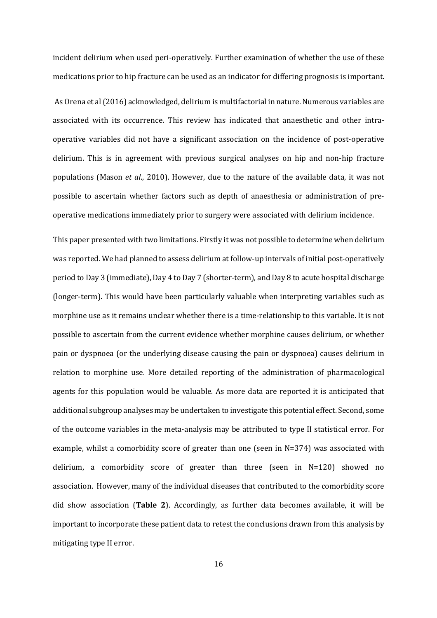incident delirium when used peri-operatively. Further examination of whether the use of these medications prior to hip fracture can be used as an indicator for differing prognosis is important.

 As Orena et al (2016) acknowledged, delirium is multifactorial in nature. Numerous variables are associated with its occurrence. This review has indicated that anaesthetic and other intraoperative variables did not have a significant association on the incidence of post-operative delirium. This is in agreement with previous surgical analyses on hip and non-hip fracture populations (Mason *et al*., 2010). However, due to the nature of the available data, it was not possible to ascertain whether factors such as depth of anaesthesia or administration of preoperative medications immediately prior to surgery were associated with delirium incidence.

This paper presented with two limitations. Firstly it was not possible to determine when delirium was reported. We had planned to assess delirium at follow-up intervals of initial post-operatively period to Day 3 (immediate), Day 4 to Day 7 (shorter-term), and Day 8 to acute hospital discharge (longer-term). This would have been particularly valuable when interpreting variables such as morphine use as it remains unclear whether there is a time-relationship to this variable. It is not possible to ascertain from the current evidence whether morphine causes delirium, or whether pain or dyspnoea (or the underlying disease causing the pain or dyspnoea) causes delirium in relation to morphine use. More detailed reporting of the administration of pharmacological agents for this population would be valuable. As more data are reported it is anticipated that additional subgroup analyses may be undertaken to investigate this potential effect. Second, some of the outcome variables in the meta-analysis may be attributed to type II statistical error. For example, whilst a comorbidity score of greater than one (seen in N=374) was associated with delirium, a comorbidity score of greater than three (seen in  $N=120$ ) showed no association. However, many of the individual diseases that contributed to the comorbidity score did show association (**Table 2**). Accordingly, as further data becomes available, it will be important to incorporate these patient data to retest the conclusions drawn from this analysis by mitigating type II error.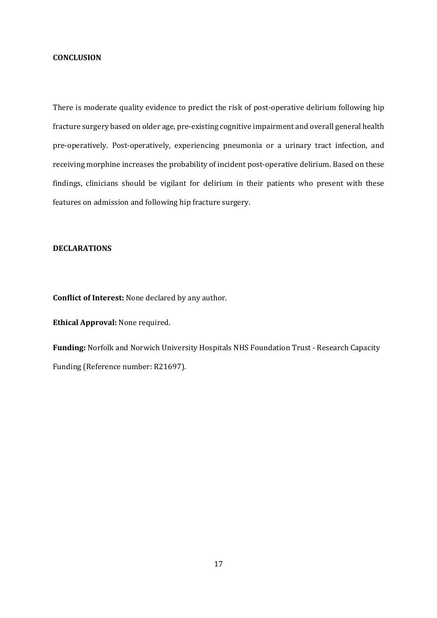#### **CONCLUSION**

There is moderate quality evidence to predict the risk of post-operative delirium following hip fracture surgery based on older age, pre-existing cognitive impairment and overall general health pre-operatively. Post-operatively, experiencing pneumonia or a urinary tract infection, and receiving morphine increases the probability of incident post-operative delirium. Based on these findings, clinicians should be vigilant for delirium in their patients who present with these features on admission and following hip fracture surgery.

## **DECLARATIONS**

**Conflict of Interest:** None declared by any author.

**Ethical Approval:** None required.

**Funding:** Norfolk and Norwich University Hospitals NHS Foundation Trust - Research Capacity Funding (Reference number: R21697).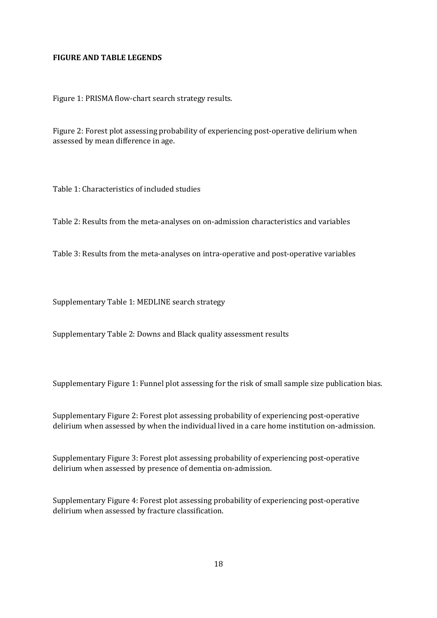## **FIGURE AND TABLE LEGENDS**

Figure 1: PRISMA flow-chart search strategy results.

Figure 2: Forest plot assessing probability of experiencing post-operative delirium when assessed by mean difference in age.

Table 1: Characteristics of included studies

Table 2: Results from the meta-analyses on on-admission characteristics and variables

Table 3: Results from the meta-analyses on intra-operative and post-operative variables

Supplementary Table 1: MEDLINE search strategy

Supplementary Table 2: Downs and Black quality assessment results

Supplementary Figure 1: Funnel plot assessing for the risk of small sample size publication bias.

Supplementary Figure 2: Forest plot assessing probability of experiencing post-operative delirium when assessed by when the individual lived in a care home institution on-admission.

Supplementary Figure 3: Forest plot assessing probability of experiencing post-operative delirium when assessed by presence of dementia on-admission.

Supplementary Figure 4: Forest plot assessing probability of experiencing post-operative delirium when assessed by fracture classification.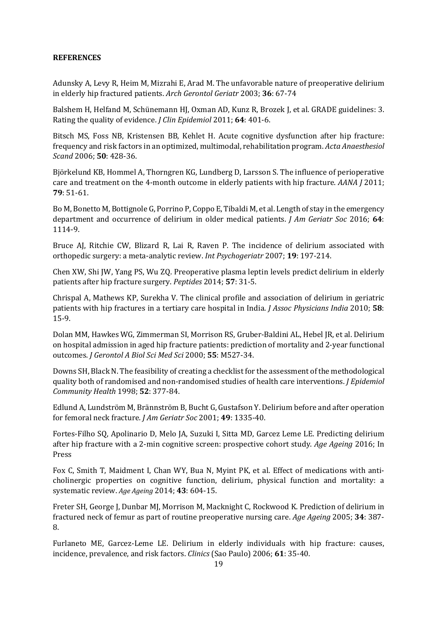## **REFERENCES**

Adunsky A, Levy R, Heim M, Mizrahi E, Arad M. The unfavorable nature of preoperative delirium in elderly hip fractured patients. *Arch Gerontol Geriatr* 2003; **36**: 67-74

Balshem H, Helfand M, Schünemann HJ, Oxman AD, Kunz R, Brozek J, et al. GRADE guidelines: 3. Rating the quality of evidence. *J Clin Epidemiol* 2011; **64**: 401-6.

Bitsch MS, Foss NB, Kristensen BB, Kehlet H. Acute cognitive dysfunction after hip fracture: frequency and risk factors in an optimized, multimodal, rehabilitation program. *Acta Anaesthesiol Scand* 2006; **50**: 428-36.

Björkelund KB, Hommel A, Thorngren KG, Lundberg D, Larsson S. The influence of perioperative care and treatment on the 4-month outcome in elderly patients with hip fracture. *AANA J* 2011; **79**: 51-61.

Bo M, Bonetto M, Bottignole G, Porrino P, Coppo E, Tibaldi M, et al. Length of stay in the emergency department and occurrence of delirium in older medical patients. *J Am Geriatr Soc* 2016; **64**: 1114-9.

Bruce AJ, Ritchie CW, Blizard R, Lai R, Raven P. The incidence of delirium associated with orthopedic surgery: a meta-analytic review. *Int Psychogeriatr* 2007; **19**: 197-214.

Chen XW, Shi JW, Yang PS, Wu ZQ. Preoperative plasma leptin levels predict delirium in elderly patients after hip fracture surgery. *Peptides* 2014; **57**: 31-5.

Chrispal A, Mathews KP, Surekha V. The clinical profile and association of delirium in geriatric patients with hip fractures in a tertiary care hospital in India. *J Assoc Physicians India* 2010; **58**: 15-9.

Dolan MM, Hawkes WG, Zimmerman SI, Morrison RS, Gruber-Baldini AL, Hebel JR, et al. Delirium on hospital admission in aged hip fracture patients: prediction of mortality and 2-year functional outcomes. *J Gerontol A Biol Sci Med Sci* 2000; **55**: M527-34.

Downs SH, Black N. The feasibility of creating a checklist for the assessment of the methodological quality both of randomised and non-randomised studies of health care interventions. *J Epidemiol Community Health* 1998; **52**: 377-84.

Edlund A, Lundström M, Brännström B, Bucht G, Gustafson Y. Delirium before and after operation for femoral neck fracture. *J Am Geriatr Soc* 2001; **49**: 1335-40.

Fortes-Filho SQ, Apolinario D, Melo JA, Suzuki I, Sitta MD, Garcez Leme LE. Predicting delirium after hip fracture with a 2-min cognitive screen: prospective cohort study. *Age Ageing* 2016; In Press

Fox C, Smith T, Maidment I, Chan WY, Bua N, Myint PK, et al. Effect of medications with anticholinergic properties on cognitive function, delirium, physical function and mortality: a systematic review. *Age Ageing* 2014; **43**: 604-15.

Freter SH, George J, Dunbar MJ, Morrison M, Macknight C, Rockwood K. Prediction of delirium in fractured neck of femur as part of routine preoperative nursing care. *Age Ageing* 2005; **34**: 387- 8.

Furlaneto ME, Garcez-Leme LE. Delirium in elderly individuals with hip fracture: causes, incidence, prevalence, and risk factors. *Clinics* (Sao Paulo) 2006; **61**: 35-40.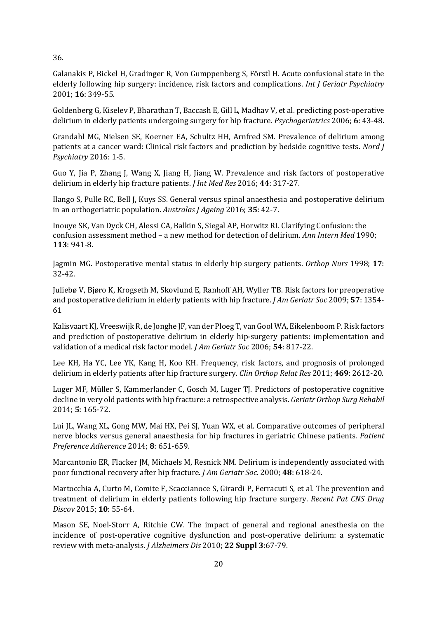36.

Galanakis P, Bickel H, Gradinger R, Von Gumppenberg S, Förstl H. Acute confusional state in the elderly following hip surgery: incidence, risk factors and complications. *Int J Geriatr Psychiatry* 2001; **16**: 349-55.

Goldenberg G, Kiselev P, Bharathan T, Baccash E, Gill L, Madhav V, et al. predicting post-operative delirium in elderly patients undergoing surgery for hip fracture. *Psychogeriatrics* 2006; **6**: 43-48.

Grandahl MG, Nielsen SE, Koerner EA, Schultz HH, Arnfred SM. Prevalence of delirium among patients at a cancer ward: Clinical risk factors and prediction by bedside cognitive tests. *Nord J Psychiatry* 2016: 1-5.

Guo Y, Jia P, Zhang J, Wang X, Jiang H, Jiang W. Prevalence and risk factors of postoperative delirium in elderly hip fracture patients. *J Int Med Res* 2016; **44**: 317-27.

Ilango S, Pulle RC, Bell J, Kuys SS. General versus spinal anaesthesia and postoperative delirium in an orthogeriatric population. *Australas J Ageing* 2016; **35**: 42-7.

Inouye SK, Van Dyck CH, Alessi CA, Balkin S, Siegal AP, Horwitz RI. Clarifying Confusion: the confusion assessment method – a new method for detection of delirium. *Ann Intern Med* 1990; **113**: 941-8.

Jagmin MG. Postoperative mental status in elderly hip surgery patients. *Orthop Nurs* 1998; **17**: 32-42.

Juliebø V, Bjøro K, Krogseth M, Skovlund E, Ranhoff AH, Wyller TB. Risk factors for preoperative and postoperative delirium in elderly patients with hip fracture. *J Am Geriatr Soc* 2009; **57**: 1354- 61

Kalisvaart KJ, Vreeswijk R, de Jonghe JF, van der Ploeg T, van Gool WA, Eikelenboom P. Risk factors and prediction of postoperative delirium in elderly hip-surgery patients: implementation and validation of a medical risk factor model. *J Am Geriatr Soc* 2006; **54**: 817-22.

Lee KH, Ha YC, Lee YK, Kang H, Koo KH. Frequency, risk factors, and prognosis of prolonged delirium in elderly patients after hip fracture surgery. *Clin Orthop Relat Res* 2011; **469**: 2612-20.

Luger MF, Müller S, Kammerlander C, Gosch M, Luger TJ. Predictors of postoperative cognitive decline in very old patients with hip fracture: a retrospective analysis. *Geriatr Orthop Surg Rehabil* 2014; **5**: 165-72.

Lui JL, Wang XL, Gong MW, Mai HX, Pei SJ, Yuan WX, et al. Comparative outcomes of peripheral nerve blocks versus general anaesthesia for hip fractures in geriatric Chinese patients. *Patient Preference Adherence* 2014; **8**: 651-659.

Marcantonio ER, Flacker JM, Michaels M, Resnick NM. Delirium is independently associated with poor functional recovery after hip fracture. *J Am Geriatr Soc*. 2000; **48**: 618-24.

Martocchia A, Curto M, Comite F, Scaccianoce S, Girardi P, Ferracuti S, et al. The prevention and treatment of delirium in elderly patients following hip fracture surgery. *Recent Pat CNS Drug Discov* 2015; **10**: 55-64.

Mason SE, Noel-Storr A, Ritchie CW. The impact of general and regional anesthesia on the incidence of post-operative cognitive dysfunction and post-operative delirium: a systematic review with meta-analysis. *J Alzheimers Dis* 2010; **22 Suppl 3**:67-79.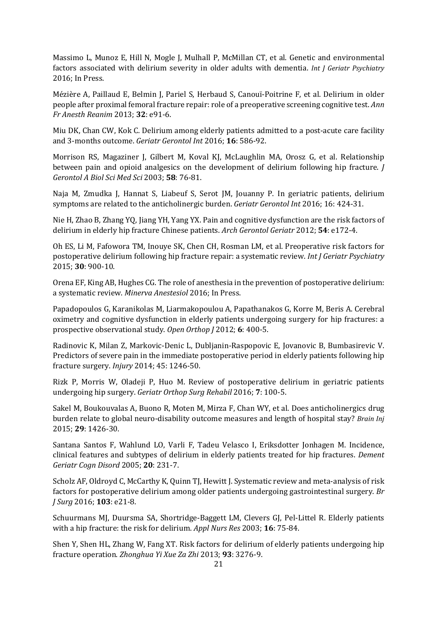Massimo L, Munoz E, Hill N, Mogle J, Mulhall P, McMillan CT, et al. Genetic and environmental factors associated with delirium severity in older adults with dementia. *Int J Geriatr Psychiatry* 2016; In Press.

Mézière A, Paillaud E, Belmin J, Pariel S, Herbaud S, Canouï-Poitrine F, et al. Delirium in older people after proximal femoral fracture repair: role of a preoperative screening cognitive test. *Ann Fr Anesth Reanim* 2013; **32**: e91-6.

Miu DK, Chan CW, Kok C. Delirium among elderly patients admitted to a post-acute care facility and 3-months outcome. *Geriatr Gerontol Int* 2016; **16**: 586-92.

Morrison RS, Magaziner J, Gilbert M, Koval KJ, McLaughlin MA, Orosz G, et al. Relationship between pain and opioid analgesics on the development of delirium following hip fracture. *J Gerontol A Biol Sci Med Sci* 2003; **58**: 76-81.

Naja M, Zmudka J, Hannat S, Liabeuf S, Serot JM, Jouanny P. In geriatric patients, delirium symptoms are related to the anticholinergic burden. *Geriatr Gerontol Int* 2016; 16: 424-31.

Nie H, Zhao B, Zhang YQ, Jiang YH, Yang YX. Pain and cognitive dysfunction are the risk factors of delirium in elderly hip fracture Chinese patients. *Arch Gerontol Geriatr* 2012; **54**: e172-4.

Oh ES, Li M, Fafowora TM, Inouye SK, Chen CH, Rosman LM, et al. Preoperative risk factors for postoperative delirium following hip fracture repair: a systematic review. *Int J Geriatr Psychiatry* 2015; **30**: 900-10.

Orena EF, King AB, Hughes CG. The role of anesthesia in the prevention of postoperative delirium: a systematic review. *Minerva Anestesiol* 2016; In Press.

Papadopoulos G, Karanikolas M, Liarmakopoulou A, Papathanakos G, Korre M, Beris A. Cerebral oximetry and cognitive dysfunction in elderly patients undergoing surgery for hip fractures: a prospective observational study. *Open Orthop J* 2012; **6**: 400-5.

Radinovic K, Milan Z, Markovic-Denic L, Dubljanin-Raspopovic E, Jovanovic B, Bumbasirevic V. Predictors of severe pain in the immediate postoperative period in elderly patients following hip fracture surgery. *Injury* 2014; 45: 1246-50.

Rizk P, Morris W, Oladeji P, Huo M. Review of postoperative delirium in geriatric patients undergoing hip surgery. *Geriatr Orthop Surg Rehabil* 2016; **7**: 100-5.

Sakel M, Boukouvalas A, Buono R, Moten M, Mirza F, Chan WY, et al. Does anticholinergics drug burden relate to global neuro-disability outcome measures and length of hospital stay? *Brain Inj* 2015; **29**: 1426-30.

Santana Santos F, Wahlund LO, Varli F, Tadeu Velasco I, Eriksdotter Jonhagen M. Incidence, clinical features and subtypes of delirium in elderly patients treated for hip fractures. *Dement Geriatr Cogn Disord* 2005; **20**: 231-7.

Scholz AF, Oldroyd C, McCarthy K, Quinn TJ, Hewitt J. Systematic review and meta-analysis of risk factors for postoperative delirium among older patients undergoing gastrointestinal surgery. *Br J Surg* 2016; **103**: e21-8.

Schuurmans MJ, Duursma SA, Shortridge-Baggett LM, Clevers GJ, Pel-Littel R. Elderly patients with a hip fracture: the risk for delirium. *Appl Nurs Res* 2003; **16**: 75-84.

Shen Y, Shen HL, Zhang W, Fang XT. Risk factors for delirium of elderly patients undergoing hip fracture operation. *Zhonghua Yi Xue Za Zhi* 2013; **93**: 3276-9.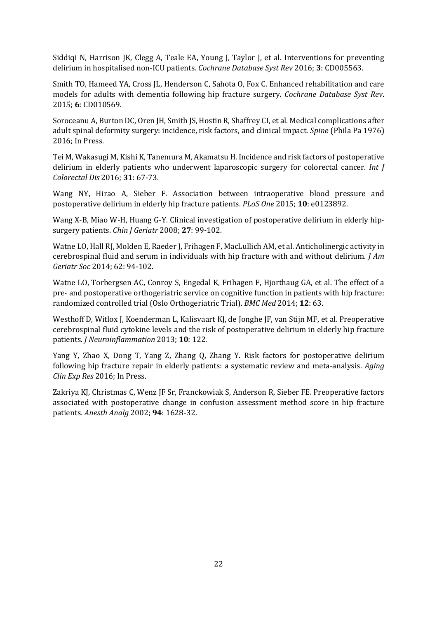Siddiqi N, Harrison JK, Clegg A, Teale EA, Young J, Taylor J, et al. Interventions for preventing delirium in hospitalised non-ICU patients. *Cochrane Database Syst Rev* 2016; **3**: CD005563.

Smith TO, Hameed YA, Cross JL, Henderson C, Sahota O, Fox C. Enhanced rehabilitation and care models for adults with dementia following hip fracture surgery. *Cochrane Database Syst Rev*. 2015; **6**: CD010569.

Soroceanu A, Burton DC, Oren JH, Smith JS, Hostin R, Shaffrey CI, et al. Medical complications after adult spinal deformity surgery: incidence, risk factors, and clinical impact. *Spine* (Phila Pa 1976) 2016; In Press.

Tei M, Wakasugi M, Kishi K, Tanemura M, Akamatsu H. Incidence and risk factors of postoperative delirium in elderly patients who underwent laparoscopic surgery for colorectal cancer. *Int J Colorectal Dis* 2016; **31**: 67-73.

Wang NY, Hirao A, Sieber F. Association between intraoperative blood pressure and postoperative delirium in elderly hip fracture patients. *PLoS One* 2015; **10**: e0123892.

Wang X-B, Miao W-H, Huang G-Y. Clinical investigation of postoperative delirium in elderly hipsurgery patients. *Chin J Geriatr* 2008; **27**: 99-102.

Watne LO, Hall RJ, Molden E, Raeder J, Frihagen F, MacLullich AM, et al. Anticholinergic activity in cerebrospinal fluid and serum in individuals with hip fracture with and without delirium. *J Am Geriatr Soc* 2014; 62: 94-102.

Watne LO, Torbergsen AC, Conroy S, Engedal K, Frihagen F, Hjorthaug GA, et al. The effect of a pre- and postoperative orthogeriatric service on cognitive function in patients with hip fracture: randomized controlled trial (Oslo Orthogeriatric Trial). *BMC Med* 2014; **12**: 63.

Westhoff D, Witlox J, Koenderman L, Kalisvaart KJ, de Jonghe JF, van Stijn MF, et al. Preoperative cerebrospinal fluid cytokine levels and the risk of postoperative delirium in elderly hip fracture patients. *J Neuroinflammation* 2013; **10**: 122.

Yang Y, Zhao X, Dong T, Yang Z, Zhang Q, Zhang Y. Risk factors for postoperative delirium following hip fracture repair in elderly patients: a systematic review and meta-analysis. *Aging Clin Exp Res* 2016; In Press.

Zakriya KJ, Christmas C, Wenz JF Sr, Franckowiak S, Anderson R, Sieber FE. Preoperative factors associated with postoperative change in confusion assessment method score in hip fracture patients. *Anesth Analg* 2002; **94**: 1628-32.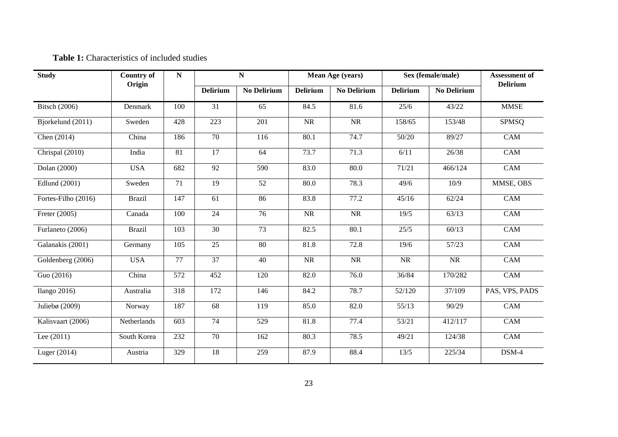|  | <b>Table 1:</b> Characteristics of included studies |  |  |
|--|-----------------------------------------------------|--|--|
|--|-----------------------------------------------------|--|--|

| <b>Study</b>         | <b>Country of</b> | $\mathbf N$     |                 | ${\bf N}$          |                 | Mean Age (years) |                 | Sex (female/male)  | <b>Assessment of</b><br><b>Delirium</b> |
|----------------------|-------------------|-----------------|-----------------|--------------------|-----------------|------------------|-----------------|--------------------|-----------------------------------------|
|                      | Origin            |                 | <b>Delirium</b> | <b>No Delirium</b> | <b>Delirium</b> | No Delirium      | <b>Delirium</b> | <b>No Delirium</b> |                                         |
| <b>Bitsch</b> (2006) | Denmark           | 100             | 31              | 65                 | 84.5            | 81.6             | 25/6            | 43/22              | <b>MMSE</b>                             |
| Bjorkelund (2011)    | Sweden            | 428             | 223             | 201                | <b>NR</b>       | NR               | 158/65          | 153/48             | <b>SPMSQ</b>                            |
| Chen $(2014)$        | China             | 186             | 70              | 116                | 80.1            | 74.7             | 50/20           | 89/27              | CAM                                     |
| Chrispal (2010)      | India             | 81              | 17              | 64                 | 73.7            | 71.3             | 6/11            | 26/38              | CAM                                     |
| Dolan (2000)         | <b>USA</b>        | 682             | 92              | 590                | 83.0            | 80.0             | 71/21           | 466/124            | CAM                                     |
| Edlund (2001)        | Sweden            | $\overline{71}$ | 19              | 52                 | 80.0            | 78.3             | 49/6            | 10/9               | MMSE, OBS                               |
| Fortes-Filho (2016)  | <b>Brazil</b>     | 147             | 61              | 86                 | 83.8            | 77.2             | 45/16           | 62/24              | <b>CAM</b>                              |
| Freter (2005)        | Canada            | 100             | 24              | 76                 | <b>NR</b>       | NR               | 19/5            | 63/13              | CAM                                     |
| Furlaneto (2006)     | <b>Brazil</b>     | 103             | $\overline{30}$ | $\overline{73}$    | 82.5            | 80.1             | 25/5            | 60/13              | CAM                                     |
| Galanakis (2001)     | Germany           | 105             | 25              | 80                 | 81.8            | 72.8             | 19/6            | 57/23              | CAM                                     |
| Goldenberg (2006)    | <b>USA</b>        | 77              | 37              | 40                 | <b>NR</b>       | <b>NR</b>        | <b>NR</b>       | NR                 | $\overline{CAM}$                        |
| Guo (2016)           | China             | 572             | 452             | 120                | 82.0            | 76.0             | 36/84           | 170/282            | CAM                                     |
| Ilango $2016$ )      | Australia         | 318             | 172             | 146                | 84.2            | 78.7             | 52/120          | 37/109             | PAS, VPS, PADS                          |
| Juliebø (2009)       | Norway            | 187             | 68              | 119                | 85.0            | 82.0             | 55/13           | 90/29              | CAM                                     |
| Kalisvaart (2006)    | Netherlands       | 603             | 74              | 529                | 81.8            | 77.4             | 53/21           | 412/117            | CAM                                     |
| Lee $(2011)$         | South Korea       | 232             | 70              | 162                | 80.3            | 78.5             | 49/21           | 124/38             | CAM                                     |
| Luger (2014)         | Austria           | 329             | 18              | 259                | 87.9            | 88.4             | 13/5            | 225/34             | DSM-4                                   |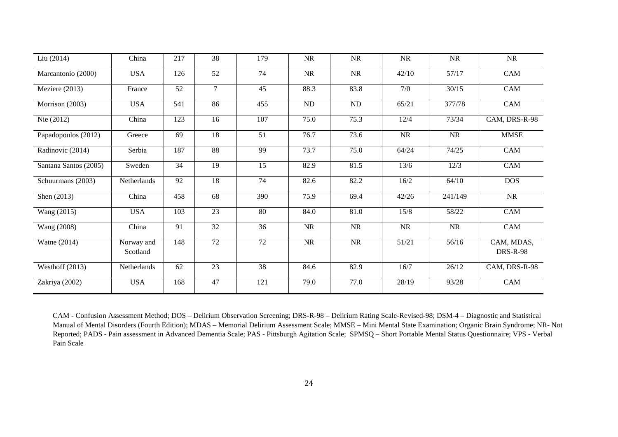| Liu(2014)             | China                  | 217             | 38              | 179             | NR        | <b>NR</b>       | <b>NR</b> | <b>NR</b> | <b>NR</b>                     |
|-----------------------|------------------------|-----------------|-----------------|-----------------|-----------|-----------------|-----------|-----------|-------------------------------|
| Marcantonio (2000)    | <b>USA</b>             | 126             | 52              | 74              | <b>NR</b> | <b>NR</b>       | 42/10     | 57/17     | CAM                           |
| Meziere (2013)        | France                 | 52              | $\tau$          | 45              | 88.3      | 83.8            | 7/0       | 30/15     | CAM                           |
| Morrison (2003)       | <b>USA</b>             | 541             | 86              | 455             | $\rm ND$  | $\overline{ND}$ | 65/21     | 377/78    | CAM                           |
| Nie (2012)            | China                  | 123             | 16              | 107             | 75.0      | 75.3            | 12/4      | 73/34     | CAM, DRS-R-98                 |
| Papadopoulos (2012)   | Greece                 | 69              | 18              | 51              | 76.7      | 73.6            | <b>NR</b> | NR        | <b>MMSE</b>                   |
| Radinovic (2014)      | Serbia                 | 187             | 88              | 99              | 73.7      | 75.0            | 64/24     | 74/25     | CAM                           |
| Santana Santos (2005) | Sweden                 | $\overline{34}$ | $\overline{19}$ | $\overline{15}$ | 82.9      | 81.5            | 13/6      | 12/3      | CAM                           |
| Schuurmans (2003)     | Netherlands            | 92              | 18              | 74              | 82.6      | 82.2            | 16/2      | 64/10     | <b>DOS</b>                    |
| Shen (2013)           | China                  | 458             | 68              | 390             | 75.9      | 69.4            | 42/26     | 241/149   | <b>NR</b>                     |
| Wang (2015)           | <b>USA</b>             | 103             | 23              | 80              | 84.0      | 81.0            | 15/8      | 58/22     | CAM                           |
| Wang (2008)           | China                  | $\overline{91}$ | $\overline{32}$ | $\overline{36}$ | <b>NR</b> | <b>NR</b>       | <b>NR</b> | NR        | CAM                           |
| Watne (2014)          | Norway and<br>Scotland | 148             | 72              | $\overline{72}$ | NR        | NR              | 51/21     | 56/16     | CAM, MDAS,<br><b>DRS-R-98</b> |
| Westhoff $(2013)$     | Netherlands            | 62              | 23              | 38              | 84.6      | 82.9            | 16/7      | 26/12     | CAM, DRS-R-98                 |
| Zakriya (2002)        | <b>USA</b>             | 168             | 47              | 121             | 79.0      | 77.0            | 28/19     | 93/28     | CAM                           |

CAM - Confusion Assessment Method; DOS – Delirium Observation Screening; DRS-R-98 – Delirium Rating Scale-Revised-98; DSM-4 – Diagnostic and Statistical Manual of Mental Disorders (Fourth Edition); MDAS – Memorial Delirium Assessment Scale; MMSE – Mini Mental State Examination; Organic Brain Syndrome; NR- Not Reported; PADS - Pain assessment in Advanced Dementia Scale; PAS - Pittsburgh Agitation Scale; SPMSQ – Short Portable Mental Status Questionnaire; VPS - Verbal Pain Scale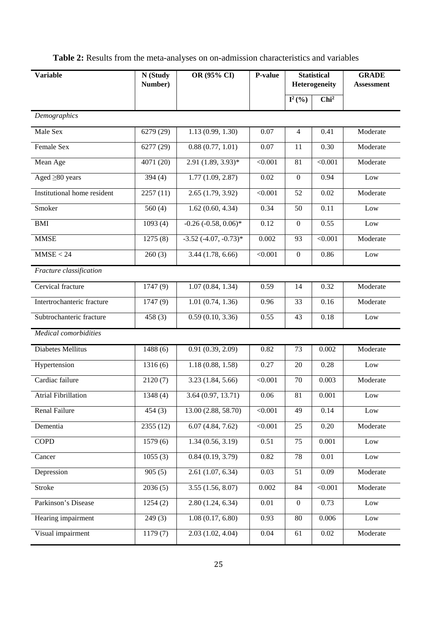| <b>Table 2:</b> Results from the meta-analyses on on-admission characteristics and variables |  |  |
|----------------------------------------------------------------------------------------------|--|--|
|----------------------------------------------------------------------------------------------|--|--|

| <b>Variable</b>             | OR (95% CI)<br>P-value<br>N (Study<br>Number) |                          |                |                      |                  | <b>GRADE</b><br><b>Assessment</b> |  |
|-----------------------------|-----------------------------------------------|--------------------------|----------------|----------------------|------------------|-----------------------------------|--|
|                             |                                               |                          |                | $I^2({\frac{9}{6}})$ | Chi <sup>2</sup> |                                   |  |
| Demographics                |                                               |                          |                |                      |                  |                                   |  |
| Male Sex                    | 6279 (29)                                     | 1.13(0.99, 1.30)         | 0.07           | $\overline{4}$       | 0.41             | Moderate                          |  |
| Female Sex                  | 6277(29)                                      | 0.88(0.77, 1.01)         | 0.07           | 11                   | 0.30             | Moderate                          |  |
| Mean Age                    | 4071 (20)                                     | 2.91 (1.89, 3.93)*       | < 0.001        | 81                   | < 0.001          | Moderate                          |  |
| Aged $\geq 80$ years        | 394(4)                                        | 1.77(1.09, 2.87)         | 0.02           | $\overline{0}$       | 0.94             | Low                               |  |
| Institutional home resident | 2257(11)                                      | 2.65(1.79, 3.92)         | < 0.001        | 52                   | 0.02             | Moderate                          |  |
| Smoker                      | 560(4)                                        | 1.62(0.60, 4.34)         | 0.34           | 50                   | 0.11             | Low                               |  |
| <b>BMI</b>                  | 1093(4)                                       | $-0.26(-0.58, 0.06)$ *   | 0.12           | $\boldsymbol{0}$     | 0.55             | Low                               |  |
| <b>MMSE</b>                 | 1275(8)                                       | $-3.52 (-4.07, -0.73)^*$ | 0.002          | 93                   | $\sqrt{0.001}$   | Moderate                          |  |
| MMSE < 24                   | 260(3)                                        | 3.44(1.78, 6.66)         | < 0.001        | $\boldsymbol{0}$     | 0.86             | Low                               |  |
| Fracture classification     |                                               |                          |                |                      |                  |                                   |  |
| Cervical fracture           | 1747(9)                                       | 1.07(0.84, 1.34)         | 0.59           | 14                   | 0.32             | Moderate                          |  |
| Intertrochanteric fracture  | 1747(9)                                       | 1.01(0.74, 1.36)         | 0.96           | 33                   | 0.16             | Moderate                          |  |
| Subtrochanteric fracture    | 458(3)                                        | 0.59(0.10, 3.36)         | 0.55           | 43                   | 0.18             | Low                               |  |
| Medical comorbidities       |                                               |                          |                |                      |                  |                                   |  |
| Diabetes Mellitus           | 1488(6)                                       | 0.91(0.39, 2.09)         | 0.82           | 73                   | 0.002            | Moderate                          |  |
| Hypertension                | 1316(6)                                       | 1.18(0.88, 1.58)         | 0.27           | 20                   | 0.28             | Low                               |  |
| Cardiac failure             | 2120(7)                                       | 3.23(1.84, 5.66)         | < 0.001        | 70                   | 0.003            | Moderate                          |  |
| <b>Atrial Fibrillation</b>  | 1348 (4)                                      | 3.64 (0.97, 13.71)       | 0.06           | 81                   | 0.001            | Low                               |  |
| Renal Failure               | 454(3)                                        | 13.00 (2.88, 58.70)      | < 0.001        | 49                   | 0.14             | Low                               |  |
| Dementia                    | 2355(12)                                      | 6.07(4.84, 7.62)         | $\sqrt{0.001}$ | 25                   | 0.20             | Moderate                          |  |
| <b>COPD</b>                 | 1579(6)                                       | 1.34(0.56, 3.19)         | 0.51           | 75                   | 0.001            | Low                               |  |
| Cancer                      | 1055(3)                                       | 0.84(0.19, 3.79)         | 0.82           | $78\,$               | 0.01             | Low                               |  |
| Depression                  | 905(5)                                        | 2.61(1.07, 6.34)         | 0.03           | 51                   | 0.09             | Moderate                          |  |
| Stroke                      | 2036(5)                                       | 3.55(1.56, 8.07)         | 0.002          | 84                   | < 0.001          | Moderate                          |  |
| Parkinson's Disease         | 1254(2)                                       | 2.80(1.24, 6.34)         | $0.01\,$       | $\boldsymbol{0}$     | 0.73             | Low                               |  |
| Hearing impairment          | 249(3)                                        | 1.08(0.17, 6.80)         | 0.93           | 80                   | 0.006            | $_{\text{Low}}$                   |  |
| Visual impairment           | 1179(7)                                       | 2.03(1.02, 4.04)         | 0.04           | 61                   | $0.02\,$         | Moderate                          |  |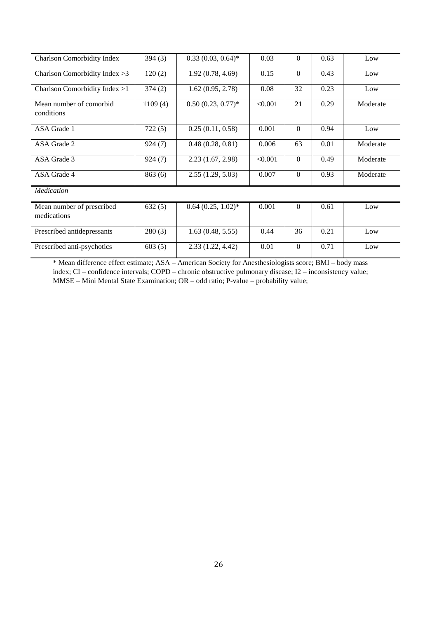| <b>Charlson Comorbidity Index</b>        | 394(3)  | $0.33(0.03, 0.64)$ * | 0.03    | $\theta$       | 0.63 | Low      |
|------------------------------------------|---------|----------------------|---------|----------------|------|----------|
| Charlson Comorbidity Index $>3$          | 120(2)  | 1.92(0.78, 4.69)     | 0.15    | $\theta$       | 0.43 | Low      |
| Charlson Comorbidity Index >1            | 374(2)  | 1.62(0.95, 2.78)     | 0.08    | 32             | 0.23 | Low      |
| Mean number of comorbid<br>conditions    | 1109(4) | $0.50(0.23, 0.77)^*$ | < 0.001 | 21             | 0.29 | Moderate |
| ASA Grade 1                              | 722(5)  | 0.25(0.11, 0.58)     | 0.001   | $\theta$       | 0.94 | Low      |
| ASA Grade 2                              | 924(7)  | 0.48(0.28, 0.81)     | 0.006   | 63             | 0.01 | Moderate |
| ASA Grade 3                              | 924(7)  | 2.23(1.67, 2.98)     | < 0.001 | $\theta$       | 0.49 | Moderate |
| ASA Grade 4                              | 863(6)  | 2.55(1.29, 5.03)     | 0.007   | $\theta$       | 0.93 | Moderate |
| <b>Medication</b>                        |         |                      |         |                |      |          |
| Mean number of prescribed<br>medications | 632(5)  | $0.64(0.25, 1.02)^*$ | 0.001   | $\overline{0}$ | 0.61 | Low      |
| Prescribed antidepressants               | 280(3)  | 1.63(0.48, 5.55)     | 0.44    | 36             | 0.21 | Low      |
| Prescribed anti-psychotics               | 603(5)  | 2.33(1.22, 4.42)     | 0.01    | $\Omega$       | 0.71 | Low      |

\* Mean difference effect estimate; ASA – American Society for Anesthesiologists score; BMI – body mass index; CI – confidence intervals; COPD – chronic obstructive pulmonary disease; I2 – inconsistency value; MMSE – Mini Mental State Examination; OR – odd ratio; P-value – probability value;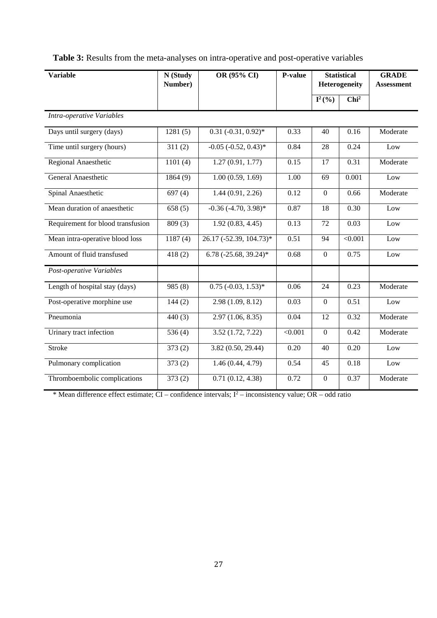| <b>Variable</b>                   | N (Study<br>Number) | OR (95% CI)               | P-value           |                      | <b>Statistical</b><br>Heterogeneity | <b>GRADE</b><br><b>Assessment</b> |  |  |
|-----------------------------------|---------------------|---------------------------|-------------------|----------------------|-------------------------------------|-----------------------------------|--|--|
|                                   |                     |                           |                   | $I^2({\frac{9}{6}})$ | Chi <sup>2</sup>                    |                                   |  |  |
| Intra-operative Variables         |                     |                           |                   |                      |                                     |                                   |  |  |
| Days until surgery (days)         | 1281(5)             | $0.31 (-0.31, 0.92)^*$    | 0.33              | 40                   | 0.16                                | Moderate                          |  |  |
| Time until surgery (hours)        | 311(2)              | $-0.05$ $(-0.52, 0.43)$ * | 0.84              | 28                   | 0.24                                | Low                               |  |  |
| Regional Anaesthetic              | 1101(4)             | 1.27(0.91, 1.77)          | 0.15              | 17                   | 0.31                                | Moderate                          |  |  |
| General Anaesthetic               | 1864(9)             | 1.00(0.59, 1.69)          | $\overline{1.00}$ | 69                   | 0.001                               | Low                               |  |  |
| Spinal Anaesthetic                | 697(4)              | 1.44(0.91, 2.26)          | 0.12              | $\mathbf{0}$         | 0.66                                | Moderate                          |  |  |
| Mean duration of anaesthetic      | 658(5)              | $-0.36$ $(-4.70, 3.98)$ * | 0.87              | 18                   | 0.30                                | Low                               |  |  |
| Requirement for blood transfusion | 809(3)              | 1.92(0.83, 4.45)          | 0.13              | 72                   | 0.03                                | Low                               |  |  |
| Mean intra-operative blood loss   | 1187(4)             | 26.17 (-52.39, 104.73)*   | 0.51              | 94                   | $\sqrt{0.001}$                      | Low                               |  |  |
| Amount of fluid transfused        | 418(2)              | 6.78 (-25.68, 39.24)*     | 0.68              | $\theta$             | 0.75                                | Low                               |  |  |
| Post-operative Variables          |                     |                           |                   |                      |                                     |                                   |  |  |
| Length of hospital stay (days)    | 985(8)              | $0.75$ (-0.03, 1.53)*     | 0.06              | 24                   | 0.23                                | Moderate                          |  |  |
| Post-operative morphine use       | 144(2)              | 2.98 (1.09, 8.12)         | 0.03              | $\boldsymbol{0}$     | 0.51                                | Low                               |  |  |
| Pneumonia                         | 440(3)              | 2.97(1.06, 8.35)          | 0.04              | 12                   | 0.32                                | Moderate                          |  |  |
| Urinary tract infection           | 536 $(4)$           | 3.52(1.72, 7.22)          | $\sqrt{0.001}$    | $\boldsymbol{0}$     | 0.42                                | Moderate                          |  |  |
| <b>Stroke</b>                     | 373(2)              | 3.82 (0.50, 29.44)        | 0.20              | 40                   | 0.20                                | Low                               |  |  |
| Pulmonary complication            | 373(2)              | 1.46(0.44, 4.79)          | 0.54              | 45                   | 0.18                                | Low                               |  |  |
| Thromboembolic complications      | 373(2)              | 0.71(0.12, 4.38)          | 0.72              | $\mathbf{0}$         | 0.37                                | Moderate                          |  |  |

**Table 3:** Results from the meta-analyses on intra-operative and post-operative variables

\* Mean difference effect estimate; CI – confidence intervals; I<sup>2</sup> – inconsistency value; OR – odd ratio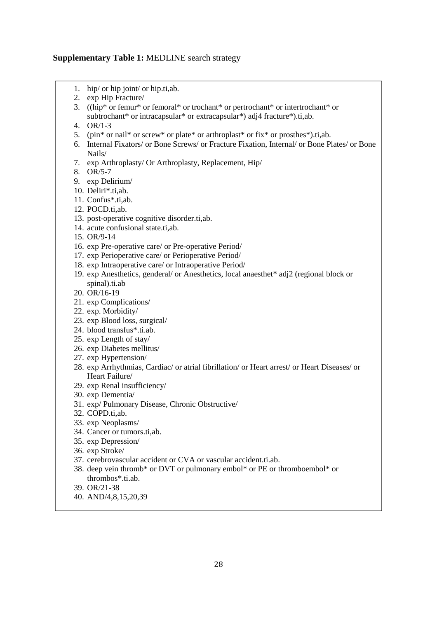## **Supplementary Table 1:** MEDLINE search strategy

- 1. hip/ or hip joint/ or hip.ti,ab.
- 2. exp Hip Fracture/
- 3. ((hip\* or femur\* or femoral\* or trochant\* or pertrochant\* or intertrochant\* or subtrochant\* or intracapsular\* or extracapsular\*) adj4 fracture\*).ti,ab.
- 4. OR/1-3
- 5. (pin\* or nail\* or screw\* or plate\* or arthroplast\* or fix\* or prosthes\*).ti,ab.
- 6. Internal Fixators/ or Bone Screws/ or Fracture Fixation, Internal/ or Bone Plates/ or Bone Nails/
- 7. exp Arthroplasty/ Or Arthroplasty, Replacement, Hip/
- 8. OR/5-7
- 9. exp Delirium/
- 10. Deliri\*.ti,ab.
- 11. Confus\*.ti,ab.
- 12. POCD.ti,ab.
- 13. post-operative cognitive disorder.ti,ab.
- 14. acute confusional state.ti,ab.
- 15. OR/9-14
- 16. exp Pre-operative care/ or Pre-operative Period/
- 17. exp Perioperative care/ or Perioperative Period/
- 18. exp Intraoperative care/ or Intraoperative Period/
- 19. exp Anesthetics, genderal/ or Anesthetics, local anaesthet\* adj2 (regional block or spinal).ti.ab
- 20. OR/16-19
- 21. exp Complications/
- 22. exp. Morbidity/
- 23. exp Blood loss, surgical/
- 24. blood transfus\*.ti.ab.
- 25. exp Length of stay/
- 26. exp Diabetes mellitus/
- 27. exp Hypertension/
- 28. exp Arrhythmias, Cardiac/ or atrial fibrillation/ or Heart arrest/ or Heart Diseases/ or Heart Failure/
- 29. exp Renal insufficiency/
- 30. exp Dementia/
- 31. exp/ Pulmonary Disease, Chronic Obstructive/
- 32. COPD.ti,ab.
- 33. exp Neoplasms/
- 34. Cancer or tumors.ti,ab.
- 35. exp Depression/
- 36. exp Stroke/
- 37. cerebrovascular accident or CVA or vascular accident.ti.ab.
- 38. deep vein thromb\* or DVT or pulmonary embol\* or PE or thromboembol\* or thrombos\*.ti.ab.
- 39. OR/21-38
- 40. AND/4,8,15,20,39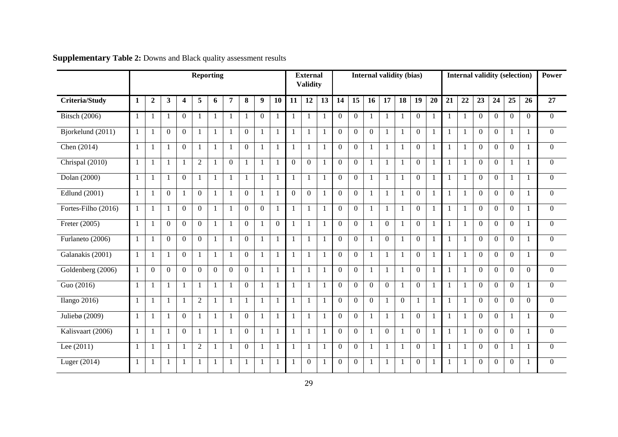|                       | <b>Reporting</b> |                  |                  |                |                  |                | <b>Internal validity (bias)</b><br><b>External</b><br><b>Validity</b> |                |                |                  |                | <b>Internal validity (selection)</b> |              |                | Power          |                |                  |                |                  |              |    |              |                |                |                |              |                |
|-----------------------|------------------|------------------|------------------|----------------|------------------|----------------|-----------------------------------------------------------------------|----------------|----------------|------------------|----------------|--------------------------------------|--------------|----------------|----------------|----------------|------------------|----------------|------------------|--------------|----|--------------|----------------|----------------|----------------|--------------|----------------|
| <b>Criteria/Study</b> | 1                | $\boldsymbol{2}$ | 3                | 4              | 5                | 6              | 7                                                                     | 8              | 9              | 10               | 11             | 12                                   | 13           | 14             | 15             | 16             | 17               | 18             | 19               | 20           | 21 | 22           | 23             | 24             | 25             | 26           | 27             |
| <b>Bitsch</b> (2006)  | $\mathbf{1}$     | $\mathbf{1}$     | -1               | $\overline{0}$ | $\mathbf{1}$     | $\mathbf{1}$   |                                                                       |                | $\overline{0}$ | -1               | 1              | 1                                    | $\mathbf{1}$ | $\Omega$       | $\overline{0}$ | $\mathbf{1}$   | $\mathbf{1}$     | 1              | $\overline{0}$   | 1            |    |              | $\Omega$       | $\Omega$       | $\Omega$       | $\Omega$     | $\overline{0}$ |
| Bjorkelund (2011)     |                  |                  | $\mathbf{0}$     | $\overline{0}$ | 1                | $\mathbf{1}$   |                                                                       | $\overline{0}$ | $\mathbf{1}$   | $\mathbf{1}$     |                | 1                                    | $\mathbf{1}$ | $\overline{0}$ | $\overline{0}$ | $\overline{0}$ | $\mathbf{1}$     |                | $\boldsymbol{0}$ | $\mathbf{1}$ |    |              | $\overline{0}$ | $\overline{0}$ | 1              | $\mathbf{1}$ | $\overline{0}$ |
| Chen (2014)           | -1               |                  | -1               | $\Omega$       | -1               | $\mathbf{1}$   |                                                                       | $\Omega$       | 1              | $\mathbf{1}$     |                | -1                                   | $\mathbf{1}$ | $\Omega$       | $\Omega$       |                | $\mathbf{1}$     |                | $\Omega$         | $\mathbf{1}$ |    |              | $\Omega$       | $\Omega$       | $\Omega$       | 1            | $\Omega$       |
| Chrispal (2010)       | 1                |                  | -1               |                | $\overline{2}$   | $\mathbf{1}$   | $\boldsymbol{0}$                                                      |                | $\mathbf{1}$   | -1               | $\Omega$       | $\overline{0}$                       | $\mathbf{1}$ | $\overline{0}$ | $\overline{0}$ |                | $\mathbf{1}$     | $\mathbf{1}$   | $\overline{0}$   | 1            |    |              | $\overline{0}$ | $\mathbf{0}$   | $\mathbf{1}$   | 1            | $\overline{0}$ |
| Dolan (2000)          | 1                | $\mathbf{1}$     | $\overline{1}$   | $\overline{0}$ | 1                | $\mathbf{1}$   |                                                                       |                | $\mathbf{1}$   | $\overline{1}$   | $\mathbf{1}$   | $\mathbf{1}$                         | $\mathbf{1}$ | $\overline{0}$ | $\overline{0}$ | $\mathbf{1}$   | $\overline{1}$   | $\mathbf{1}$   | $\overline{0}$   | 1            |    | $\mathbf{1}$ | $\overline{0}$ | $\Omega$       | 1              | $\mathbf{1}$ | $\overline{0}$ |
| Edlund (2001)         | $\mathbf{1}$     | $\mathbf{1}$     | $\mathbf{0}$     | $\mathbf{1}$   | $\theta$         | $\mathbf{1}$   | -1                                                                    | $\Omega$       | $\mathbf{1}$   | $\overline{1}$   | $\Omega$       | $\overline{0}$                       | $\mathbf{1}$ | $\Omega$       | $\Omega$       | $\mathbf{1}$   | $\overline{1}$   | $\mathbf{1}$   | $\overline{0}$   | $\mathbf{1}$ | -1 | -1           | $\Omega$       | $\theta$       | $\overline{0}$ | $\mathbf{1}$ | $\overline{0}$ |
| Fortes-Filho (2016)   | 1                | 1                | -1               | $\Omega$       | $\overline{0}$   | $\mathbf{1}$   |                                                                       | $\overline{0}$ | $\mathbf{0}$   | -1               | 1              | 1                                    | $\mathbf{1}$ | $\overline{0}$ | $\overline{0}$ | $\mathbf{1}$   | $\mathbf{1}$     | 1              | $\overline{0}$   | 1            |    |              | $\overline{0}$ | $\theta$       | $\overline{0}$ | $\mathbf{1}$ | $\overline{0}$ |
| Freter (2005)         | 1                |                  | $\boldsymbol{0}$ | $\overline{0}$ | $\boldsymbol{0}$ | $\mathbf{1}$   |                                                                       | $\overline{0}$ | $\mathbf{1}$   | $\boldsymbol{0}$ | 1              | $\mathbf{1}$                         | $\mathbf{1}$ | $\overline{0}$ | $\overline{0}$ | 1              | $\boldsymbol{0}$ | 1              | $\boldsymbol{0}$ | $\mathbf{1}$ |    |              | $\mathbf{0}$   | $\theta$       | $\overline{0}$ | $\mathbf{1}$ | $\overline{0}$ |
| Furlaneto (2006)      | -1               | $\mathbf{1}$     | $\Omega$         | $\Omega$       | $\theta$         | $\mathbf{1}$   | -1                                                                    | $\Omega$       | -1             | $\mathbf{1}$     | $\overline{1}$ | $\mathbf{1}$                         | $\mathbf{1}$ | $\Omega$       | $\overline{0}$ | -1             | $\Omega$         |                | $\mathbf{0}$     | 1            | -1 |              | $\Omega$       | $\theta$       | $\overline{0}$ | $\mathbf{1}$ | $\overline{0}$ |
| Galanakis (2001)      | $\mathbf{1}$     | $\mathbf{1}$     | -1               | $\overline{0}$ | 1                | $\mathbf{1}$   | $\mathbf{1}$                                                          | $\overline{0}$ | 1              | $\mathbf{1}$     | $\mathbf{1}$   | 1                                    | $\mathbf{1}$ | $\overline{0}$ | $\overline{0}$ | 1              | $\mathbf{1}$     | 1              | $\overline{0}$   | 1            |    |              | $\mathbf{0}$   | $\Omega$       | $\overline{0}$ | $\mathbf{1}$ | $\overline{0}$ |
| Goldenberg (2006)     | $\mathbf{1}$     | $\overline{0}$   | $\Omega$         | $\overline{0}$ | $\mathbf{0}$     | $\overline{0}$ | $\overline{0}$                                                        | $\overline{0}$ | $\mathbf{1}$   | $\mathbf{1}$     | $\mathbf{1}$   | $\mathbf{1}$                         | $\mathbf{1}$ | $\overline{0}$ | $\overline{0}$ | $\mathbf{1}$   | $\mathbf{1}$     | $\mathbf{1}$   | $\overline{0}$   | $\mathbf{1}$ |    | $\mathbf{1}$ | $\overline{0}$ | $\theta$       | $\Omega$       | $\Omega$     | $\overline{0}$ |
| Guo (2016)            | $\mathbf{1}$     | $\mathbf{1}$     | $\mathbf{1}$     | $\mathbf{1}$   | 1                | $\mathbf{1}$   | -1                                                                    | $\overline{0}$ | $\mathbf{1}$   | -1               | $\mathbf{1}$   | 1                                    | $\mathbf{1}$ | $\overline{0}$ | $\overline{0}$ | $\overline{0}$ | $\overline{0}$   | 1              | $\overline{0}$   | $\mathbf{1}$ | -1 | -1           | $\overline{0}$ | $\Omega$       | $\overline{0}$ | $\mathbf{1}$ | $\overline{0}$ |
| Ilango 2016)          | 1                | $\mathbf{1}$     | -1               | $\mathbf{1}$   | $\overline{2}$   | $\mathbf{1}$   |                                                                       |                | $\mathbf{1}$   | -1               | 1              | 1                                    | $\mathbf{1}$ | $\overline{0}$ | $\overline{0}$ | $\overline{0}$ | -1               | $\overline{0}$ | $\mathbf{1}$     | 1            |    |              | $\Omega$       | $\Omega$       | $\Omega$       | $\Omega$     | $\overline{0}$ |
| Juliebø $(2009)$      | $\mathbf{1}$     | $\mathbf{1}$     | $\mathbf{1}$     | $\overline{0}$ | 1                | $\mathbf{1}$   |                                                                       | $\overline{0}$ | 1              | -1               | $\mathbf{1}$   | 1                                    | $\mathbf{1}$ | $\Omega$       | $\overline{0}$ | $\mathbf{1}$   | -1               | 1              | $\overline{0}$   | $\mathbf{1}$ |    |              | $\Omega$       | $\Omega$       | 1              | $\mathbf{1}$ | $\Omega$       |
| Kalisvaart (2006)     | $\mathbf{1}$     | 1                | $\mathbf{1}$     | $\overline{0}$ | 1                | $\mathbf{1}$   | $\mathbf{1}$                                                          | $\overline{0}$ | $\mathbf{1}$   | $\mathbf{1}$     |                | 1                                    | $\mathbf{1}$ | $\overline{0}$ | $\overline{0}$ |                | $\overline{0}$   |                | $\overline{0}$   | $\mathbf{1}$ |    |              | $\overline{0}$ | $\mathbf{0}$   | $\overline{0}$ | $\mathbf{1}$ | $\overline{0}$ |
| Lee $(2011)$          | $\mathbf{1}$     | $\mathbf{1}$     | -1               |                | $\overline{2}$   | $\mathbf{1}$   |                                                                       | $\Omega$       | 1              | $\mathbf{1}$     | 1              | $\mathbf{1}$                         | $\mathbf{1}$ | $\overline{0}$ | $\overline{0}$ | 1              | $\mathbf{1}$     | $\mathbf{1}$   | $\overline{0}$   | 1            |    |              | $\Omega$       | $\mathbf{0}$   | 1              | $\mathbf{1}$ | $\Omega$       |
| Luger (2014)          | $\mathbf{1}$     | $\mathbf{1}$     | $\mathbf{1}$     |                | 1                | $\mathbf{1}$   |                                                                       |                | 1              | $\mathbf{1}$     |                | $\mathbf{0}$                         | $\mathbf{1}$ | $\overline{0}$ | $\overline{0}$ | $\mathbf{1}$   | $\mathbf{1}$     |                | $\mathbf{0}$     | $\mathbf{1}$ |    |              | $\mathbf{0}$   | $\theta$       | $\Omega$       |              | $\Omega$       |

**Supplementary Table 2:** Downs and Black quality assessment results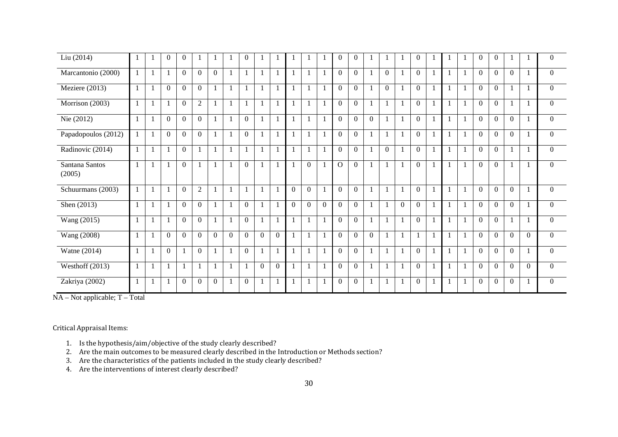| Liu (2014)               |              | $\overline{0}$ | $\overline{0}$ |                |                |          | $\overline{0}$ |                |                |          |                |              | $\overline{0}$ | $\overline{0}$ |                |                |          | $\overline{0}$ |              |                | $\boldsymbol{0}$ | $\mathbf{0}$     |          |          | $\mathbf{0}$   |
|--------------------------|--------------|----------------|----------------|----------------|----------------|----------|----------------|----------------|----------------|----------|----------------|--------------|----------------|----------------|----------------|----------------|----------|----------------|--------------|----------------|------------------|------------------|----------|----------|----------------|
| Marcantonio (2000)       |              |                | $\overline{0}$ | $\overline{0}$ | $\overline{0}$ |          |                |                |                |          |                | $\mathbf{1}$ | $\theta$       | $\overline{0}$ |                | $\overline{0}$ |          | $\overline{0}$ |              |                | $\overline{0}$   | $\overline{0}$   | $\theta$ |          | $\overline{0}$ |
| Meziere (2013)           | $\mathbf{1}$ | $\overline{0}$ | $\overline{0}$ | $\overline{0}$ | $\mathbf{1}$   |          |                | $\mathbf{1}$   | $\mathbf{1}$   |          |                | $\mathbf{1}$ | $\overline{0}$ | $\Omega$       |                | $\overline{0}$ |          | $\overline{0}$ | $\mathbf{1}$ | $\overline{1}$ | $\overline{0}$   | $\overline{0}$   |          |          | $\overline{0}$ |
| Morrison (2003)          |              |                | $\mathbf{0}$   | $\overline{2}$ | 1              |          |                |                | 1              |          |                | $\mathbf{1}$ | $\theta$       | $\theta$       |                | $\mathbf{1}$   |          | $\overline{0}$ | $\mathbf{1}$ | $\overline{1}$ | $\Omega$         | $\mathbf{0}$     |          |          | $\overline{0}$ |
| Nie $(2012)$             |              | $\theta$       | $\theta$       | $\theta$       | 1              |          | $\theta$       |                | 1              |          |                | $\mathbf{1}$ | $\overline{0}$ | $\Omega$       | $\overline{0}$ | 1              |          | $\overline{0}$ |              |                | $\Omega$         | $\boldsymbol{0}$ | $\Omega$ |          | $\overline{0}$ |
| Papadopoulos (2012)      |              | $\overline{0}$ | $\overline{0}$ | $\overline{0}$ | 1              |          | $\overline{0}$ | 1              | $\mathbf{1}$   |          |                | $\mathbf{1}$ | $\theta$       | $\overline{0}$ |                | 1              |          | $\overline{0}$ | $\mathbf{1}$ |                | $\overline{0}$   | $\overline{0}$   | $\Omega$ |          | $\Omega$       |
| Radinovic (2014)         |              | $\mathbf{1}$   | $\overline{0}$ |                | $\mathbf{1}$   |          | 1              |                | $\mathbf{1}$   |          |                | $\mathbf{1}$ | $\Omega$       | $\mathbf{0}$   |                | $\mathbf{0}$   |          | $\overline{0}$ |              |                | $\Omega$         | $\mathbf{0}$     |          |          | $\overline{0}$ |
| Santana Santos<br>(2005) | 1            | $\mathbf{1}$   | $\Omega$       | $\mathbf{1}$   | $\mathbf{1}$   |          | $\overline{0}$ | $\mathbf{1}$   | $\mathbf{1}$   |          | $\overline{0}$ | $\mathbf{1}$ | $\mathbf{O}$   | $\overline{0}$ |                | 1              |          | $\overline{0}$ | $\mathbf{1}$ | $\mathbf{1}$   | $\overline{0}$   | $\overline{0}$   |          |          | $\overline{0}$ |
| Schuurmans (2003)        |              |                | $\Omega$       | 2              | $\mathbf{1}$   |          |                |                | $\mathbf{1}$   | $\Omega$ | $\theta$       | $\mathbf{1}$ | $\Omega$       | $\Omega$       |                | 1              |          | $\overline{0}$ |              |                | $\Omega$         | $\overline{0}$   | $\Omega$ |          | $\overline{0}$ |
| Shen $(2013)$            |              |                | $\overline{0}$ | $\theta$       | 1              |          | $\overline{0}$ |                | $\mathbf{1}$   | $\Omega$ | $\overline{0}$ | $\theta$     | $\theta$       | $\Omega$       |                | 1              | $\Omega$ | $\overline{0}$ | $\mathbf{1}$ |                | $\theta$         | $\theta$         | $\theta$ |          | $\Omega$       |
| Wang (2015)              |              |                | $\theta$       | $\theta$       | $\mathbf{1}$   |          | $\theta$       |                |                |          |                | $\mathbf{1}$ | $\Omega$       | $\theta$       |                | $\mathbf{1}$   |          | $\Omega$       |              |                | $\Omega$         | $\theta$         |          |          | $\Omega$       |
| Wang (2008)              | $\mathbf{1}$ | $\overline{0}$ | $\Omega$       | $\overline{0}$ | $\overline{0}$ | $\Omega$ | $\Omega$       | $\overline{0}$ | $\overline{0}$ |          |                | $\mathbf{1}$ | $\theta$       | $\theta$       | $\theta$       | $\mathbf{1}$   |          |                | $\mathbf{1}$ | $\mathbf{1}$   | $\theta$         | $\overline{0}$   | $\Omega$ | $\Omega$ | $\Omega$       |
| Watne (2014)             |              | $\theta$       |                | $\Omega$       | $\mathbf{1}$   |          | $\Omega$       |                |                |          |                | $\mathbf{1}$ | $\theta$       | $\theta$       |                | 1              |          | $\Omega$       |              |                | $\theta$         | $\theta$         | $\Omega$ |          | $\Omega$       |
| Westhoff (2013)          |              |                |                |                | $\mathbf{1}$   |          |                | $\overline{0}$ | $\overline{0}$ |          |                | $\mathbf{1}$ | $\theta$       | $\Omega$       |                | 1              |          | $\Omega$       |              |                | $\Omega$         | $\theta$         | $\Omega$ | $\Omega$ | $\overline{0}$ |
| Zakriya (2002)           |              |                | $\mathbf{0}$   | $\overline{0}$ | $\overline{0}$ |          | $\overline{0}$ |                |                |          |                | $\mathbf{1}$ | $\mathbf{0}$   | $\Omega$       |                | $\mathbf{1}$   |          | $\mathbf{0}$   | 1            |                | $\overline{0}$   | $\boldsymbol{0}$ | $\theta$ |          | $\Omega$       |

NA – Not applicable; T – Total

Critical Appraisal Items:

- 1. Is the hypothesis/aim/objective of the study clearly described?
- 2. Are the main outcomes to be measured clearly described in the Introduction or Methods section? 3. Are the characteristics of the patients included in the study clearly described?
- 
- 4. Are the interventions of interest clearly described?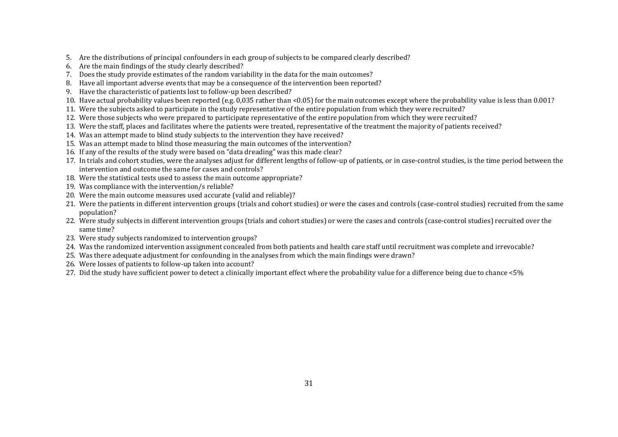- 5. Are the distributions of principal confounders in each group of subjects to be compared clearly described?
- 6. Are the main findings of the study clearly described?
- 7. Does the study provide estimates of the random variability in the data for the main outcomes?
- 8. Have all important adverse events that may be a consequence of the intervention been reported?
- 9. Have the characteristic of patients lost to follow-up been described?
- 10. Have actual probability values been reported (e.g. 0,035 rather than <0.05) for the main outcomes except where the probability value is less than 0.001?
- 11. Were the subjects asked to participate in the study representative of the entire population from which they were recruited?
- 12. Were those subjects who were prepared to participate representative of the entire population from which they were recruited?
- 13. Were the staff, places and facilitates where the patients were treated, representative of the treatment the majority of patients received?
- 14. Was an attempt made to blind study subjects to the intervention they have received?
- 15. Was an attempt made to blind those measuring the main outcomes of the intervention?
- 16. If any of the results of the study were based on "data dreading" was this made clear?
- 17. In trials and cohort studies, were the analyses adjust for different lengths of follow-up of patients, or in case-control studies, is the time period between the intervention and outcome the same for cases and controls?
- 18. Were the statistical tests used to assess the main outcome appropriate?
- 19. Was compliance with the intervention/s reliable?
- 20. Were the main outcome measures used accurate (valid and reliable)?
- 21. Were the patients in different intervention groups (trials and cohort studies) or were the cases and controls (case-control studies) recruited from the same population?
- 22. Were study subjects in different intervention groups (trials and cohort studies) or were the cases and controls (case-control studies) recruited over thesame time?
- 23. Were study subjects randomized to intervention groups?
- 24. Was the randomized intervention assignment concealed from both patients and health care staff until recruitment was complete and irrevocable?
- 25. Was there adequate adjustment for confounding in the analyses from which the main findings were drawn?
- 26. Were losses of patients to follow-up taken into account?
- 27. Did the study have sufficient power to detect a clinically important effect where the probability value for a difference being due to chance <5%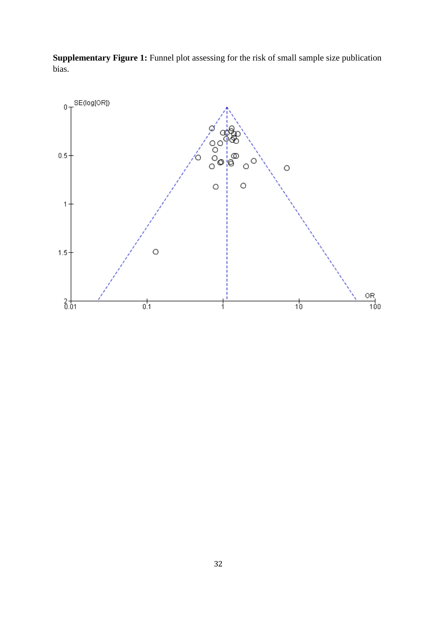**Supplementary Figure 1:** Funnel plot assessing for the risk of small sample size publication bias.

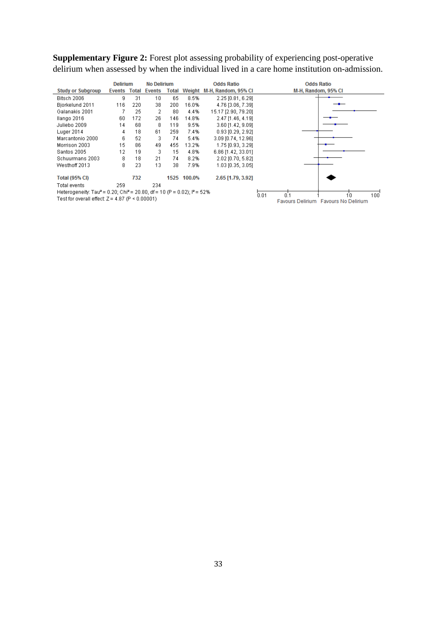**Supplementary Figure 2:** Forest plot assessing probability of experiencing post-operative delirium when assessed by when the individual lived in a care home institution on-admission.

|                                                                                                            | <b>Delirium</b> |              | <b>No Delirium</b> |       |             | <b>Odds Ratio</b>   |      | <b>Odds Ratio</b>                    |
|------------------------------------------------------------------------------------------------------------|-----------------|--------------|--------------------|-------|-------------|---------------------|------|--------------------------------------|
| <b>Study or Subgroup</b>                                                                                   | Events          | <b>Total</b> | Events             | Total | Weight      | M-H, Random, 95% CI |      | M-H, Random, 95% CI                  |
| Bitsch 2006                                                                                                | 9               | 31           | 10                 | 65    | 8.5%        | 2.25 [0.81, 6.29]   |      |                                      |
| Bjorkelund 2011                                                                                            | 116             | 220          | 38                 | 200.  | 16.0%       | 4.76 [3.06, 7.39]   |      |                                      |
| Galanakis 2001                                                                                             |                 | 25           | 2                  | 80    | 4.4%        | 15.17 [2.90, 79.20] |      |                                      |
| llango 2016                                                                                                | 60              | 172          | 26                 | 146   | 14.8%       | 2.47 [1.46, 4.19]   |      |                                      |
| Juliebo 2009                                                                                               | 14              | 68           | 8                  | 119   | 9.5%        | 3.60 [1.42, 9.09]   |      |                                      |
| Luger 2014                                                                                                 | 4               | 18           | 61                 | 259.  | 7.4%        | 0.93 [0.29, 2.92]   |      |                                      |
| Marcantonio 2000                                                                                           | 6               | 52           | 3                  | 74    | 5.4%        | 3.09 (0.74, 12.96)  |      |                                      |
| Morrison 2003                                                                                              | 15              | 86           | 49                 | 455.  | 13.2%       | 1.75 [0.93, 3.29]   |      |                                      |
| Santos 2005                                                                                                | 12              | 19           | 3                  | 15    | 4.8%        | 6.86 [1.42, 33.01]  |      |                                      |
| Schuurmans 2003                                                                                            | 8               | 18           | 21                 | 74    | 8.2%        | 2.02 [0.70, 5.82]   |      |                                      |
| Westhoff 2013                                                                                              | 8               | 23           | 13                 | 38    | 7.9%        | 1.03 [0.35, 3.05]   |      |                                      |
| <b>Total (95% CI)</b>                                                                                      |                 | 732          |                    |       | 1525 100.0% | 2.65 [1.79, 3.92]   |      |                                      |
| Total events                                                                                               | 259.            |              | 234                |       |             |                     |      |                                      |
| Heterogeneity: Tau <sup>2</sup> = 0.20; Chi <sup>2</sup> = 20.80, df = 10 (P = 0.02); l <sup>2</sup> = 52% |                 |              |                    |       |             |                     | 0.01 | 0 <sup>1</sup><br>100<br>10          |
| Test for overall effect: Z = 4.87 (P < 0.00001).                                                           |                 |              |                    |       |             |                     |      | Favours Delirium Favours No Delirium |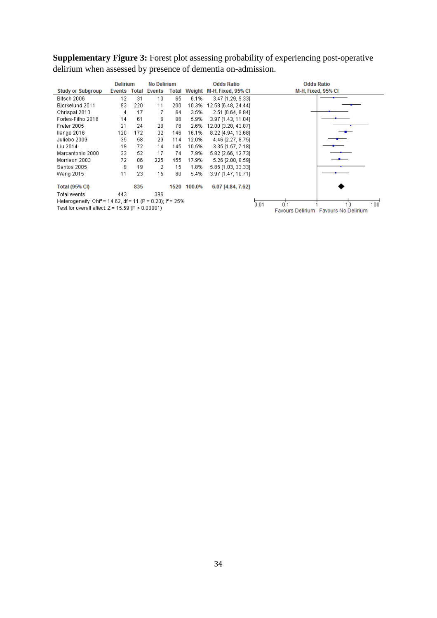**Supplementary Figure 3:** Forest plot assessing probability of experiencing post-operative delirium when assessed by presence of dementia on-admission.

|                                                                         | <b>Delirium</b> |       | <b>No Delirium</b> |       |             | <b>Odds Ratio</b>   | <b>Odds Ratio</b>                                                 |
|-------------------------------------------------------------------------|-----------------|-------|--------------------|-------|-------------|---------------------|-------------------------------------------------------------------|
| <b>Study or Subgroup</b>                                                | Events          | Total | Events             | Total | Weight      | M-H, Fixed, 95% CI  | M-H, Fixed, 95% CI                                                |
| Bitsch 2006                                                             | 12              | 31    | 10                 | 65    | 6.1%        | 3.47 [1.29, 9.33]   |                                                                   |
| Biorkelund 2011                                                         | 93              | 220   | 11                 | 200   | 10.3%       | 12.58 [6.48, 24.44] |                                                                   |
| Chrispal 2010                                                           | 4               | 17    | 7                  | 64    | 3.5%        | 2.51 [0.64, 9.84]   |                                                                   |
| Fortes-Filho 2016                                                       | 14              | 61    | 6                  | 86    | 5.9%        | 3.97 [1.43, 11.04]  |                                                                   |
| Freter 2005                                                             | 21              | 24    | 28                 | 76    | 2.6%        | 12.00 [3.28, 43.87] |                                                                   |
| llango 2016                                                             | 120             | 172   | 32                 | 146   | 16.1%       | 8.22 [4.94, 13.68]  |                                                                   |
| Juliebo 2009                                                            | 35              | 58    | 29                 | 114   | 12.0%       | 4.46 [2.27, 8.75]   |                                                                   |
| Liu 2014                                                                | 19              | 72    | 14                 | 145   | 10.5%       | 3.35 [1.57, 7.18]   |                                                                   |
| Marcantonio 2000                                                        | 33              | 52    | 17                 | 74    | 7.9%        | 5.82 [2.66, 12.73]  |                                                                   |
| Morrison 2003                                                           | 72              | 86    | 225                | 455   | 17.9%       | 5.26 [2.88, 9.59]   |                                                                   |
| Santos 2005                                                             | g               | 19    | 2                  | 15    | 1.8%        | 5.85 [1.03, 33.33]  |                                                                   |
| Wang 2015                                                               | 11              | 23    | 15                 | 80    | 5.4%        | 3.97 [1.47, 10.71]  |                                                                   |
| <b>Total (95% CI)</b>                                                   |                 | 835   |                    |       | 1520 100.0% | 6.07 [4.84, 7.62]   |                                                                   |
| Total events                                                            | 443             |       | 396                |       |             |                     |                                                                   |
| Heterogeneity: Chi <sup>2</sup> = 14.62, df = 11 (P = 0.20); $P = 25\%$ |                 |       |                    |       |             |                     |                                                                   |
| Test for overall effect: $Z = 15.59$ (P < 0.00001)                      |                 |       |                    |       |             |                     | 0.01<br>n 1<br>1'n<br>100<br>Favours Delirium Favours No Delirium |
|                                                                         |                 |       |                    |       |             |                     |                                                                   |